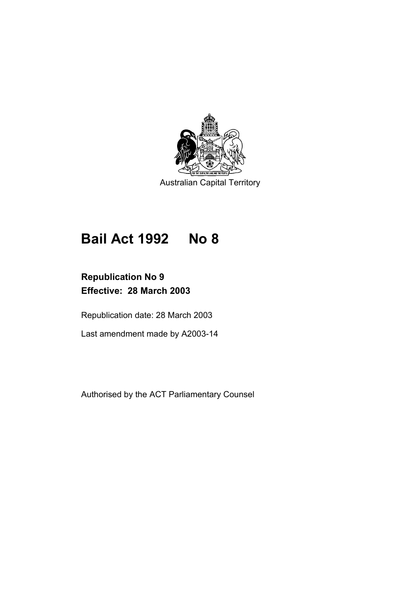

# **Bail Act 1992 No 8**

## **Republication No 9 Effective: 28 March 2003**

Republication date: 28 March 2003

Last amendment made by A2003-14

Authorised by the ACT Parliamentary Counsel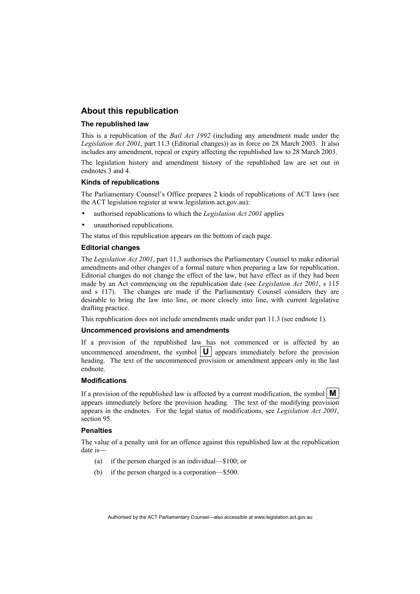## **About this republication**

#### **The republished law**

This is a republication of the *Bail Act 1992* (including any amendment made under the *Legislation Act 2001*, part 11.3 (Editorial changes)) as in force on 28 March 2003*.* It also includes any amendment, repeal or expiry affecting the republished law to 28 March 2003.

The legislation history and amendment history of the republished law are set out in endnotes 3 and 4

#### **Kinds of republications**

The Parliamentary Counsel's Office prepares 2 kinds of republications of ACT laws (see the ACT legislation register at www.legislation.act.gov.au):

- authorised republications to which the *Legislation Act 2001* applies
- unauthorised republications.

The status of this republication appears on the bottom of each page.

#### **Editorial changes**

The *Legislation Act 2001*, part 11.3 authorises the Parliamentary Counsel to make editorial amendments and other changes of a formal nature when preparing a law for republication. Editorial changes do not change the effect of the law, but have effect as if they had been made by an Act commencing on the republication date (see *Legislation Act 2001*, s 115 and s 117). The changes are made if the Parliamentary Counsel considers they are desirable to bring the law into line, or more closely into line, with current legislative drafting practice.

This republication does not include amendments made under part 11.3 (see endnote 1).

#### **Uncommenced provisions and amendments**

If a provision of the republished law has not commenced or is affected by an uncommenced amendment, the symbol  $|\mathbf{U}|$  appears immediately before the provision heading. The text of the uncommenced provision or amendment appears only in the last endnote.

#### **Modifications**

If a provision of the republished law is affected by a current modification, the symbol  $\vert \mathbf{M} \vert$ appears immediately before the provision heading. The text of the modifying provision appears in the endnotes. For the legal status of modifications, see *Legislation Act 2001*, section 95.

#### **Penalties**

The value of a penalty unit for an offence against this republished law at the republication date is—

- (a) if the person charged is an individual—\$100; or
- (b) if the person charged is a corporation—\$500.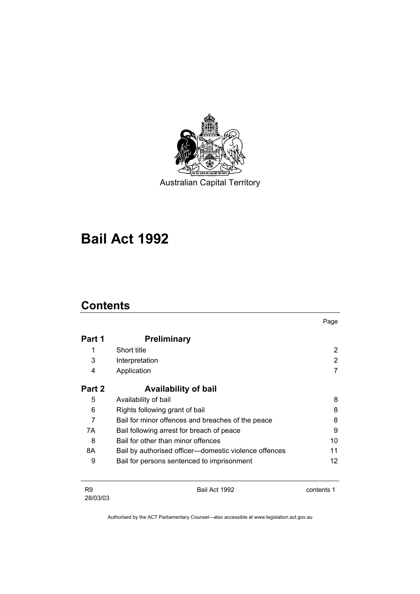

# **Bail Act 1992**

## **Contents**

|        |                                                       | Page |
|--------|-------------------------------------------------------|------|
| Part 1 | <b>Preliminary</b>                                    |      |
| 1      | Short title                                           | 2    |
| 3      | Interpretation                                        | 2    |
| 4      | Application                                           |      |
| Part 2 | <b>Availability of bail</b>                           |      |
| 5      | Availability of bail                                  | 8    |
| 6      | Rights following grant of bail                        | 8    |
| 7      | Bail for minor offences and breaches of the peace     | 8    |
| 7A     | Bail following arrest for breach of peace             | 9    |
| 8      | Bail for other than minor offences                    | 10   |
| 8A     | Bail by authorised officer-domestic violence offences | 11   |
| 9      | Bail for persons sentenced to imprisonment            | 12   |
|        |                                                       |      |
|        |                                                       |      |

R9 28/03/03 Bail Act 1992 **contents** 1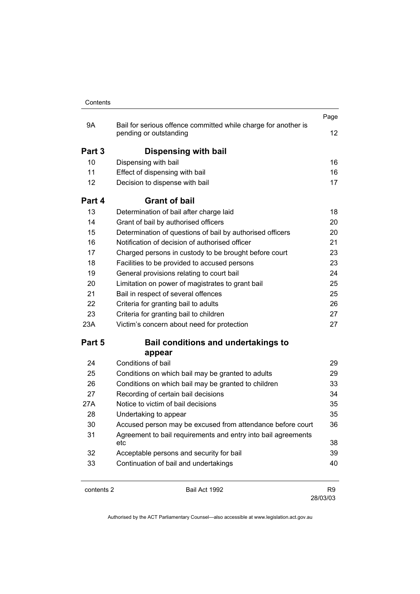| Contents |
|----------|
|          |

|        |                                                                                          | Page |
|--------|------------------------------------------------------------------------------------------|------|
| 9Α     | Bail for serious offence committed while charge for another is<br>pending or outstanding | 12   |
| Part 3 | Dispensing with bail                                                                     |      |
| 10     | Dispensing with bail                                                                     | 16   |
| 11     | Effect of dispensing with bail                                                           | 16   |
| 12     | Decision to dispense with bail                                                           | 17   |
| Part 4 | <b>Grant of bail</b>                                                                     |      |
| 13     | Determination of bail after charge laid                                                  | 18   |
| 14     | Grant of bail by authorised officers                                                     | 20   |
| 15     | Determination of questions of bail by authorised officers                                | 20   |
| 16     | Notification of decision of authorised officer                                           | 21   |
| 17     | Charged persons in custody to be brought before court                                    | 23   |
| 18     | Facilities to be provided to accused persons                                             | 23   |
| 19     | General provisions relating to court bail                                                | 24   |
| 20     | Limitation on power of magistrates to grant bail                                         | 25   |
| 21     | Bail in respect of several offences                                                      | 25   |
| 22     | Criteria for granting bail to adults                                                     | 26   |
| 23     | Criteria for granting bail to children                                                   | 27   |
| 23A    | Victim's concern about need for protection                                               | 27   |
| Part 5 | <b>Bail conditions and undertakings to</b>                                               |      |
|        | appear                                                                                   |      |
| 24     | Conditions of bail                                                                       | 29   |
| 25     | Conditions on which bail may be granted to adults                                        | 29   |
| 26     | Conditions on which bail may be granted to children                                      | 33   |
| 27     | Recording of certain bail decisions                                                      | 34   |
| 27A    | Notice to victim of bail decisions                                                       | 35   |
| 28     | Undertaking to appear                                                                    | 35   |
| 30     | Accused person may be excused from attendance before court                               | 36   |
| 31     | Agreement to bail requirements and entry into bail agreements<br>etc                     | 38   |
| 32     | Acceptable persons and security for bail                                                 | 39   |
| 33     | Continuation of bail and undertakings                                                    | 40   |
|        |                                                                                          |      |

contents 2 Bail Act 1992

28/03/03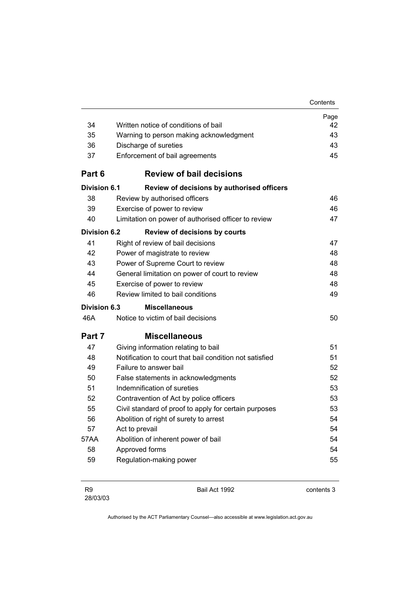|                     |                                                         | Contents |
|---------------------|---------------------------------------------------------|----------|
|                     |                                                         | Page     |
| 34                  | Written notice of conditions of bail                    | 42       |
| 35                  | Warning to person making acknowledgment                 | 43       |
| 36                  | Discharge of sureties                                   | 43       |
| 37                  | Enforcement of bail agreements                          | 45       |
| Part 6              | <b>Review of bail decisions</b>                         |          |
| <b>Division 6.1</b> | Review of decisions by authorised officers              |          |
| 38                  | Review by authorised officers                           | 46       |
| 39                  | Exercise of power to review                             | 46       |
| 40                  | Limitation on power of authorised officer to review     | 47       |
| <b>Division 6.2</b> | <b>Review of decisions by courts</b>                    |          |
| 41                  | Right of review of bail decisions                       | 47       |
| 42                  | Power of magistrate to review                           | 48       |
| 43                  | Power of Supreme Court to review                        | 48       |
| 44                  | General limitation on power of court to review          | 48       |
| 45                  | Exercise of power to review                             | 48       |
| 46                  | Review limited to bail conditions                       | 49       |
| Division 6.3        | <b>Miscellaneous</b>                                    |          |
| 46A                 | Notice to victim of bail decisions                      | 50       |
| Part 7              | <b>Miscellaneous</b>                                    |          |
| 47                  | Giving information relating to bail                     | 51       |
| 48                  | Notification to court that bail condition not satisfied | 51       |
| 49                  | Failure to answer bail                                  | 52       |
| 50                  | False statements in acknowledgments                     | 52       |
| 51                  | Indemnification of sureties                             | 53       |
| 52                  | Contravention of Act by police officers                 | 53       |
| 55                  | Civil standard of proof to apply for certain purposes   | 53       |
| 56                  | Abolition of right of surety to arrest                  | 54       |
| 57                  | Act to prevail                                          | 54       |
| 57AA                | Abolition of inherent power of bail                     | 54       |
| 58                  | Approved forms                                          | 54       |
| 59                  | Regulation-making power                                 | 55       |
|                     |                                                         |          |

Bail Act 1992 contents 3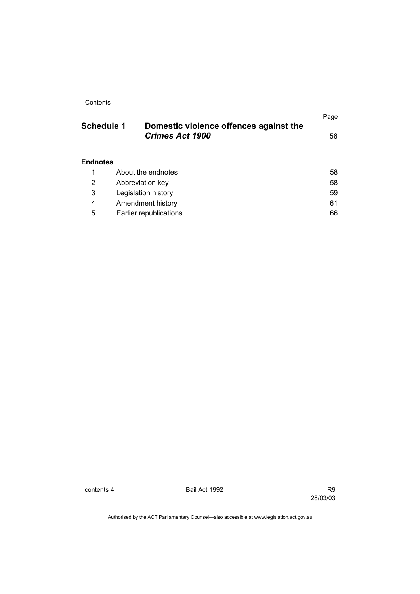**Contents** 

|                   |                                                                  | Page |
|-------------------|------------------------------------------------------------------|------|
| <b>Schedule 1</b> | Domestic violence offences against the<br><b>Crimes Act 1900</b> | 56   |
| <b>Endnotes</b>   |                                                                  |      |
| 1                 | About the endnotes                                               | 58   |
| 2                 | Abbreviation key                                                 | 58   |
| 3                 | Legislation history                                              | 59   |
| 4                 | Amendment history                                                | 61   |
| 5                 | Earlier republications                                           | 66   |

contents 4 Bail Act 1992 R9

28/03/03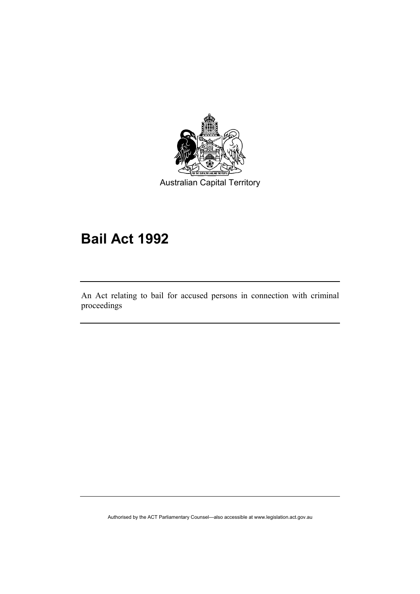

# **Bail Act 1992**

An Act relating to bail for accused persons in connection with criminal proceedings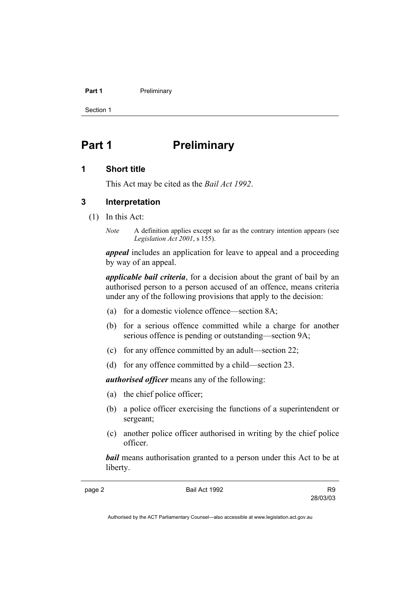#### **Part 1** Preliminary

Section 1

## **Part 1** Preliminary

## **1 Short title**

This Act may be cited as the *Bail Act 1992*.

## **3 Interpretation**

- (1) In this Act:
	- *Note* A definition applies except so far as the contrary intention appears (see *Legislation Act 2001*, s 155).

*appeal* includes an application for leave to appeal and a proceeding by way of an appeal.

*applicable bail criteria*, for a decision about the grant of bail by an authorised person to a person accused of an offence, means criteria under any of the following provisions that apply to the decision:

- (a) for a domestic violence offence—section 8A;
- (b) for a serious offence committed while a charge for another serious offence is pending or outstanding—section 9A;
- (c) for any offence committed by an adult—section 22;
- (d) for any offence committed by a child—section 23.

*authorised officer* means any of the following:

- (a) the chief police officer;
- (b) a police officer exercising the functions of a superintendent or sergeant;
- (c) another police officer authorised in writing by the chief police officer.

*bail* means authorisation granted to a person under this Act to be at liberty.

page 2 R9

28/03/03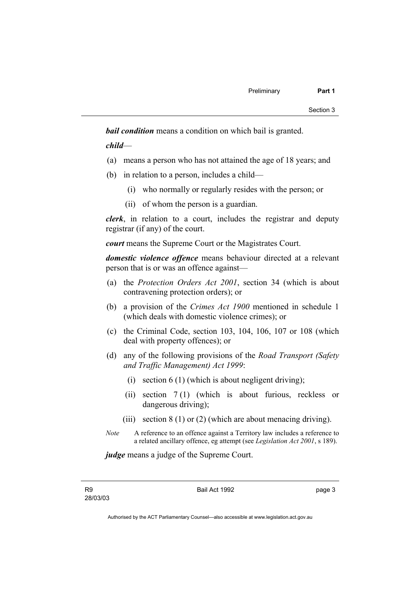*bail condition* means a condition on which bail is granted.

*child*—

- (a) means a person who has not attained the age of 18 years; and
- (b) in relation to a person, includes a child—
	- (i) who normally or regularly resides with the person; or
	- (ii) of whom the person is a guardian.

*clerk*, in relation to a court, includes the registrar and deputy registrar (if any) of the court.

*court* means the Supreme Court or the Magistrates Court.

*domestic violence offence* means behaviour directed at a relevant person that is or was an offence against—

- (a) the *Protection Orders Act 2001*, section 34 (which is about contravening protection orders); or
- (b) a provision of the *Crimes Act 1900* mentioned in schedule 1 (which deals with domestic violence crimes); or
- (c) the Criminal Code, section 103, 104, 106, 107 or 108 (which deal with property offences); or
- (d) any of the following provisions of the *Road Transport (Safety and Traffic Management) Act 1999*:
	- (i) section  $6(1)$  (which is about negligent driving);
	- (ii) section 7 (1) (which is about furious, reckless or dangerous driving);
	- (iii) section  $8(1)$  or (2) (which are about menacing driving).
- *Note* A reference to an offence against a Territory law includes a reference to a related ancillary offence, eg attempt (see *Legislation Act 2001*, s 189).

*judge* means a judge of the Supreme Court.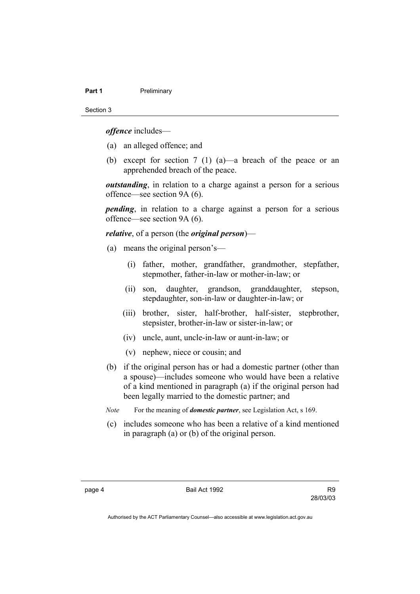#### **Part 1** Preliminary

Section 3

*offence* includes—

- (a) an alleged offence; and
- (b) except for section 7 (1) (a)—a breach of the peace or an apprehended breach of the peace.

*outstanding*, in relation to a charge against a person for a serious offence—see section 9A (6).

*pending*, in relation to a charge against a person for a serious offence—see section 9A (6).

### *relative*, of a person (the *original person*)—

- (a) means the original person's—
	- (i) father, mother, grandfather, grandmother, stepfather, stepmother, father-in-law or mother-in-law; or
	- (ii) son, daughter, grandson, granddaughter, stepson, stepdaughter, son-in-law or daughter-in-law; or
	- (iii) brother, sister, half-brother, half-sister, stepbrother, stepsister, brother-in-law or sister-in-law; or
	- (iv) uncle, aunt, uncle-in-law or aunt-in-law; or
	- (v) nephew, niece or cousin; and
- (b) if the original person has or had a domestic partner (other than a spouse)—includes someone who would have been a relative of a kind mentioned in paragraph (a) if the original person had been legally married to the domestic partner; and
- *Note* For the meaning of *domestic partner*, see Legislation Act, s 169.
- (c) includes someone who has been a relative of a kind mentioned in paragraph (a) or (b) of the original person.

page 4 R9 Bail Act 1992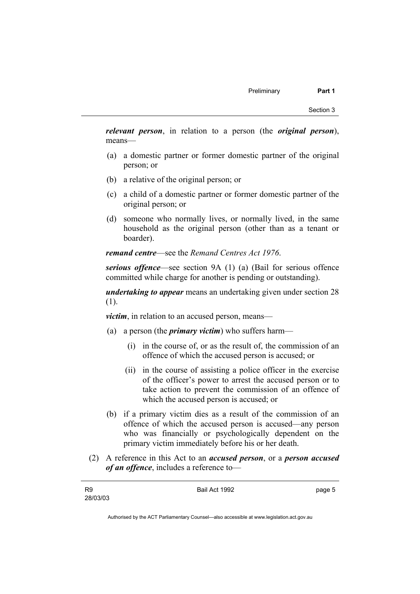*relevant person*, in relation to a person (the *original person*), means—

- (a) a domestic partner or former domestic partner of the original person; or
- (b) a relative of the original person; or
- (c) a child of a domestic partner or former domestic partner of the original person; or
- (d) someone who normally lives, or normally lived, in the same household as the original person (other than as a tenant or boarder).

*remand centre*—see the *Remand Centres Act 1976*.

*serious offence*—see section 9A (1) (a) (Bail for serious offence committed while charge for another is pending or outstanding).

*undertaking to appear* means an undertaking given under section 28 (1).

*victim*, in relation to an accused person, means—

- (a) a person (the *primary victim*) who suffers harm—
	- (i) in the course of, or as the result of, the commission of an offence of which the accused person is accused; or
	- (ii) in the course of assisting a police officer in the exercise of the officer's power to arrest the accused person or to take action to prevent the commission of an offence of which the accused person is accused; or
- (b) if a primary victim dies as a result of the commission of an offence of which the accused person is accused—any person who was financially or psychologically dependent on the primary victim immediately before his or her death.
- (2) A reference in this Act to an *accused person*, or a *person accused of an offence*, includes a reference to—

| R9       | Bail Act 1992 |
|----------|---------------|
| 28/03/03 |               |

page 5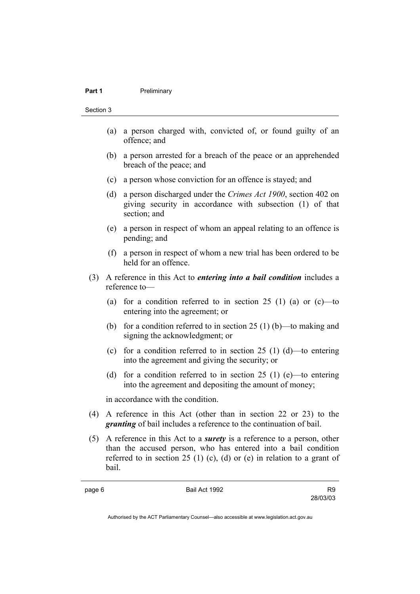#### **Part 1** Preliminary

#### Section 3

- (a) a person charged with, convicted of, or found guilty of an offence; and
- (b) a person arrested for a breach of the peace or an apprehended breach of the peace; and
- (c) a person whose conviction for an offence is stayed; and
- (d) a person discharged under the *Crimes Act 1900*, section 402 on giving security in accordance with subsection (1) of that section; and
- (e) a person in respect of whom an appeal relating to an offence is pending; and
- (f) a person in respect of whom a new trial has been ordered to be held for an offence.
- (3) A reference in this Act to *entering into a bail condition* includes a reference to—
	- (a) for a condition referred to in section 25 (1) (a) or  $(c)$ —to entering into the agreement; or
	- (b) for a condition referred to in section 25 (1) (b)—to making and signing the acknowledgment; or
	- (c) for a condition referred to in section 25 (1) (d)—to entering into the agreement and giving the security; or
	- (d) for a condition referred to in section 25 (1) (e)—to entering into the agreement and depositing the amount of money;

in accordance with the condition.

- (4) A reference in this Act (other than in section 22 or 23) to the *granting* of bail includes a reference to the continuation of bail.
- (5) A reference in this Act to a *surety* is a reference to a person, other than the accused person, who has entered into a bail condition referred to in section 25 (1) (c), (d) or (e) in relation to a grant of bail.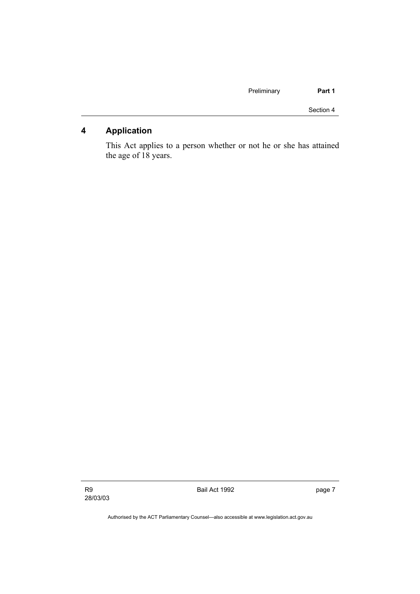| Preliminary | Part 1    |
|-------------|-----------|
|             | Section 4 |

## **4 Application**

This Act applies to a person whether or not he or she has attained the age of 18 years.

Bail Act 1992 **page 7**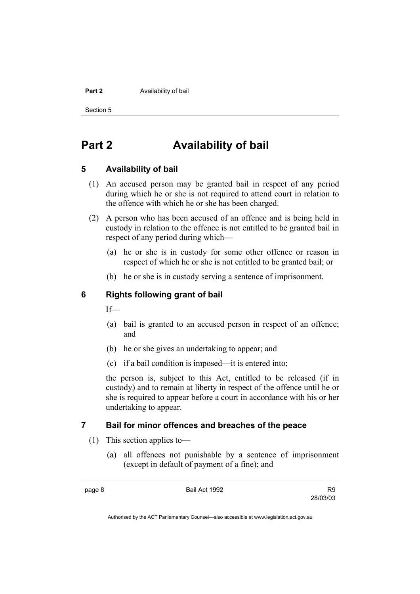#### **Part 2 Availability of bail**

Section 5

## **Part 2 Availability of bail**

## **5 Availability of bail**

- (1) An accused person may be granted bail in respect of any period during which he or she is not required to attend court in relation to the offence with which he or she has been charged.
- (2) A person who has been accused of an offence and is being held in custody in relation to the offence is not entitled to be granted bail in respect of any period during which—
	- (a) he or she is in custody for some other offence or reason in respect of which he or she is not entitled to be granted bail; or
	- (b) he or she is in custody serving a sentence of imprisonment.

## **6 Rights following grant of bail**

If—

- (a) bail is granted to an accused person in respect of an offence; and
- (b) he or she gives an undertaking to appear; and
- (c) if a bail condition is imposed—it is entered into;

the person is, subject to this Act, entitled to be released (if in custody) and to remain at liberty in respect of the offence until he or she is required to appear before a court in accordance with his or her undertaking to appear.

## **7 Bail for minor offences and breaches of the peace**

- (1) This section applies to—
	- (a) all offences not punishable by a sentence of imprisonment (except in default of payment of a fine); and

page 8 and R9 Bail Act 1992

28/03/03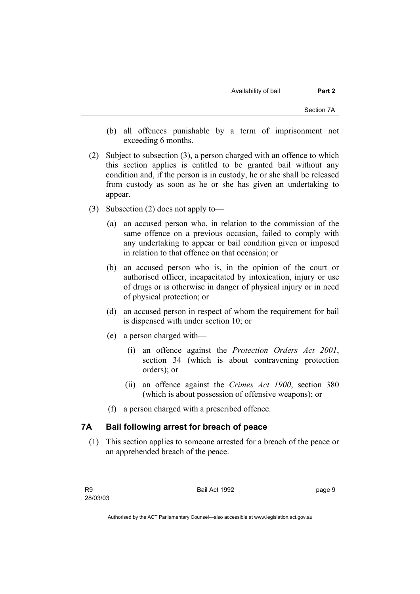- (b) all offences punishable by a term of imprisonment not exceeding 6 months.
- (2) Subject to subsection (3), a person charged with an offence to which this section applies is entitled to be granted bail without any condition and, if the person is in custody, he or she shall be released from custody as soon as he or she has given an undertaking to appear.
- (3) Subsection (2) does not apply to—
	- (a) an accused person who, in relation to the commission of the same offence on a previous occasion, failed to comply with any undertaking to appear or bail condition given or imposed in relation to that offence on that occasion; or
	- (b) an accused person who is, in the opinion of the court or authorised officer, incapacitated by intoxication, injury or use of drugs or is otherwise in danger of physical injury or in need of physical protection; or
	- (d) an accused person in respect of whom the requirement for bail is dispensed with under section 10; or
	- (e) a person charged with—
		- (i) an offence against the *Protection Orders Act 2001*, section 34 (which is about contravening protection orders); or
		- (ii) an offence against the *Crimes Act 1900*, section 380 (which is about possession of offensive weapons); or
	- (f) a person charged with a prescribed offence.

## **7A Bail following arrest for breach of peace**

 (1) This section applies to someone arrested for a breach of the peace or an apprehended breach of the peace.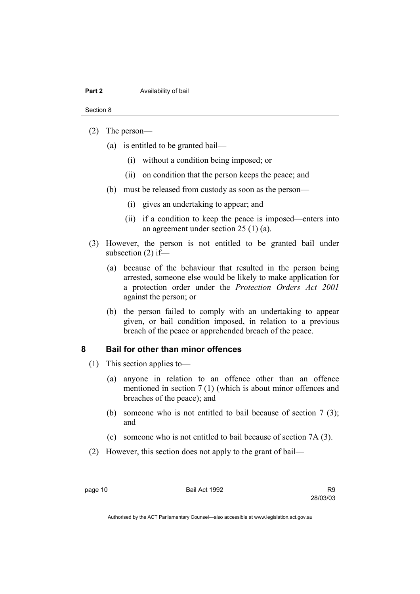#### **Part 2 Availability of bail**

#### Section 8

### (2) The person—

- (a) is entitled to be granted bail—
	- (i) without a condition being imposed; or
	- (ii) on condition that the person keeps the peace; and
- (b) must be released from custody as soon as the person—
	- (i) gives an undertaking to appear; and
	- (ii) if a condition to keep the peace is imposed—enters into an agreement under section 25 (1) (a).
- (3) However, the person is not entitled to be granted bail under subsection (2) if—
	- (a) because of the behaviour that resulted in the person being arrested, someone else would be likely to make application for a protection order under the *Protection Orders Act 2001* against the person; or
	- (b) the person failed to comply with an undertaking to appear given, or bail condition imposed, in relation to a previous breach of the peace or apprehended breach of the peace.

## **8 Bail for other than minor offences**

- (1) This section applies to—
	- (a) anyone in relation to an offence other than an offence mentioned in section 7 (1) (which is about minor offences and breaches of the peace); and
	- (b) someone who is not entitled to bail because of section 7 (3); and
	- (c) someone who is not entitled to bail because of section 7A (3).
- (2) However, this section does not apply to the grant of bail—

page 10 and Bail Act 1992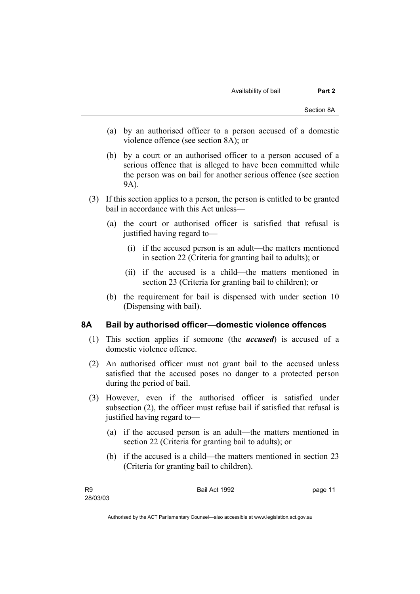- (a) by an authorised officer to a person accused of a domestic violence offence (see section 8A); or
- (b) by a court or an authorised officer to a person accused of a serious offence that is alleged to have been committed while the person was on bail for another serious offence (see section 9A).
- (3) If this section applies to a person, the person is entitled to be granted bail in accordance with this Act unless—
	- (a) the court or authorised officer is satisfied that refusal is justified having regard to—
		- (i) if the accused person is an adult—the matters mentioned in section 22 (Criteria for granting bail to adults); or
		- (ii) if the accused is a child—the matters mentioned in section 23 (Criteria for granting bail to children); or
	- (b) the requirement for bail is dispensed with under section 10 (Dispensing with bail).

### **8A Bail by authorised officer—domestic violence offences**

- (1) This section applies if someone (the *accused*) is accused of a domestic violence offence.
- (2) An authorised officer must not grant bail to the accused unless satisfied that the accused poses no danger to a protected person during the period of bail.
- (3) However, even if the authorised officer is satisfied under subsection (2), the officer must refuse bail if satisfied that refusal is justified having regard to—
	- (a) if the accused person is an adult—the matters mentioned in section 22 (Criteria for granting bail to adults); or
	- (b) if the accused is a child—the matters mentioned in section 23 (Criteria for granting bail to children).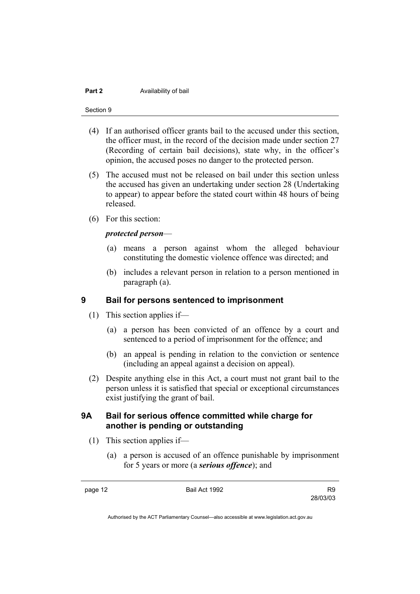#### **Part 2 Availability of bail**

Section 9

- (4) If an authorised officer grants bail to the accused under this section, the officer must, in the record of the decision made under section 27 (Recording of certain bail decisions), state why, in the officer's opinion, the accused poses no danger to the protected person.
- (5) The accused must not be released on bail under this section unless the accused has given an undertaking under section 28 (Undertaking to appear) to appear before the stated court within 48 hours of being released.
- (6) For this section:

### *protected person*—

- (a) means a person against whom the alleged behaviour constituting the domestic violence offence was directed; and
- (b) includes a relevant person in relation to a person mentioned in paragraph (a).

## **9 Bail for persons sentenced to imprisonment**

- (1) This section applies if—
	- (a) a person has been convicted of an offence by a court and sentenced to a period of imprisonment for the offence; and
	- (b) an appeal is pending in relation to the conviction or sentence (including an appeal against a decision on appeal).
- (2) Despite anything else in this Act, a court must not grant bail to the person unless it is satisfied that special or exceptional circumstances exist justifying the grant of bail.

## **9A Bail for serious offence committed while charge for another is pending or outstanding**

- (1) This section applies if—
	- (a) a person is accused of an offence punishable by imprisonment for 5 years or more (a *serious offence*); and

page 12 R9 Bail Act 1992

28/03/03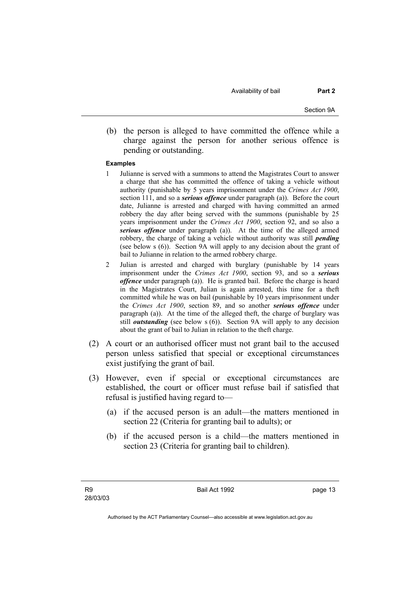Availability of bail **Part 2** 

Section 9A

 (b) the person is alleged to have committed the offence while a charge against the person for another serious offence is pending or outstanding.

#### **Examples**

- 1 Julianne is served with a summons to attend the Magistrates Court to answer a charge that she has committed the offence of taking a vehicle without authority (punishable by 5 years imprisonment under the *Crimes Act 1900*, section 111, and so a *serious offence* under paragraph (a)). Before the court date, Julianne is arrested and charged with having committed an armed robbery the day after being served with the summons (punishable by 25 years imprisonment under the *Crimes Act 1900*, section 92, and so also a *serious offence* under paragraph (a)). At the time of the alleged armed robbery, the charge of taking a vehicle without authority was still *pending* (see below s (6)). Section 9A will apply to any decision about the grant of bail to Julianne in relation to the armed robbery charge.
- 2 Julian is arrested and charged with burglary (punishable by 14 years imprisonment under the *Crimes Act 1900*, section 93, and so a *serious offence* under paragraph (a)). He is granted bail. Before the charge is heard in the Magistrates Court, Julian is again arrested, this time for a theft committed while he was on bail (punishable by 10 years imprisonment under the *Crimes Act 1900*, section 89, and so another *serious offence* under paragraph (a)). At the time of the alleged theft, the charge of burglary was still *outstanding* (see below s (6)). Section 9A will apply to any decision about the grant of bail to Julian in relation to the theft charge.
- (2) A court or an authorised officer must not grant bail to the accused person unless satisfied that special or exceptional circumstances exist justifying the grant of bail.
- (3) However, even if special or exceptional circumstances are established, the court or officer must refuse bail if satisfied that refusal is justified having regard to—
	- (a) if the accused person is an adult—the matters mentioned in section 22 (Criteria for granting bail to adults); or
	- (b) if the accused person is a child—the matters mentioned in section 23 (Criteria for granting bail to children).

Authorised by the ACT Parliamentary Counsel—also accessible at www.legislation.act.gov.au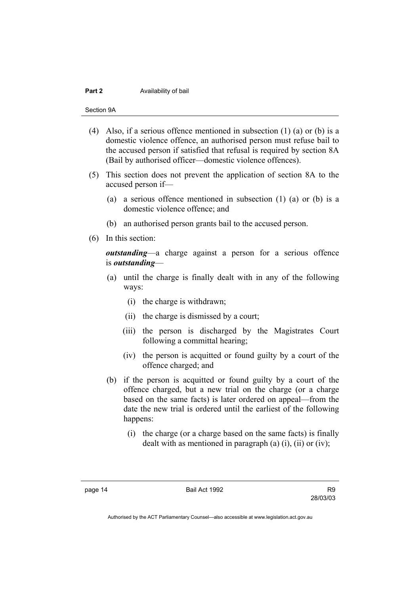#### **Part 2 Availability of bail**

Section 9A

- (4) Also, if a serious offence mentioned in subsection (1) (a) or (b) is a domestic violence offence, an authorised person must refuse bail to the accused person if satisfied that refusal is required by section 8A (Bail by authorised officer—domestic violence offences).
- (5) This section does not prevent the application of section 8A to the accused person if—
	- (a) a serious offence mentioned in subsection (1) (a) or (b) is a domestic violence offence; and
	- (b) an authorised person grants bail to the accused person.
- (6) In this section:

*outstanding*—a charge against a person for a serious offence is *outstanding*—

- (a) until the charge is finally dealt with in any of the following ways:
	- (i) the charge is withdrawn;
	- (ii) the charge is dismissed by a court;
	- (iii) the person is discharged by the Magistrates Court following a committal hearing;
	- (iv) the person is acquitted or found guilty by a court of the offence charged; and
- (b) if the person is acquitted or found guilty by a court of the offence charged, but a new trial on the charge (or a charge based on the same facts) is later ordered on appeal—from the date the new trial is ordered until the earliest of the following happens:
	- (i) the charge (or a charge based on the same facts) is finally dealt with as mentioned in paragraph (a)  $(i)$ ,  $(ii)$  or  $(iv)$ ;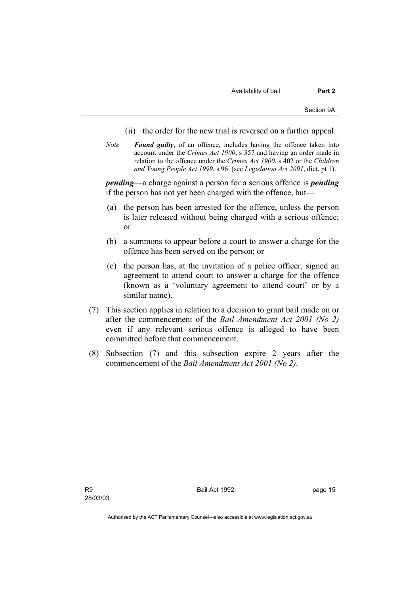Availability of bail **Part 2** 

- (ii) the order for the new trial is reversed on a further appeal.
- *Note Found guilty*, of an offence, includes having the offence taken into account under the *Crimes Act 1900*, s 357 and having an order made in relation to the offence under the *Crimes Act 1900*, s 402 or the *Children and Young People Act 1999*, s 96 (see *Legislation Act 2001*, dict, pt 1).

*pending*—a charge against a person for a serious offence is *pending* if the person has not yet been charged with the offence, but—

- (a) the person has been arrested for the offence, unless the person is later released without being charged with a serious offence; or
- (b) a summons to appear before a court to answer a charge for the offence has been served on the person; or
- (c) the person has, at the invitation of a police officer, signed an agreement to attend court to answer a charge for the offence (known as a 'voluntary agreement to attend court' or by a similar name).
- (7) This section applies in relation to a decision to grant bail made on or after the commencement of the *Bail Amendment Act 2001 (No 2)* even if any relevant serious offence is alleged to have been committed before that commencement.
- (8) Subsection (7) and this subsection expire 2 years after the commencement of the *Bail Amendment Act 2001 (No 2)*.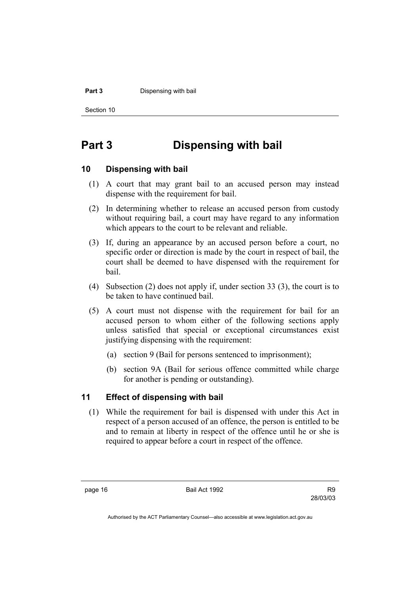#### **Part 3 Dispensing with bail**

Section 10

## **Part 3 Dispensing with bail**

### **10 Dispensing with bail**

- (1) A court that may grant bail to an accused person may instead dispense with the requirement for bail.
- (2) In determining whether to release an accused person from custody without requiring bail, a court may have regard to any information which appears to the court to be relevant and reliable.
- (3) If, during an appearance by an accused person before a court, no specific order or direction is made by the court in respect of bail, the court shall be deemed to have dispensed with the requirement for bail.
- (4) Subsection (2) does not apply if, under section 33 (3), the court is to be taken to have continued bail.
- (5) A court must not dispense with the requirement for bail for an accused person to whom either of the following sections apply unless satisfied that special or exceptional circumstances exist justifying dispensing with the requirement:
	- (a) section 9 (Bail for persons sentenced to imprisonment);
	- (b) section 9A (Bail for serious offence committed while charge for another is pending or outstanding).

## **11 Effect of dispensing with bail**

 (1) While the requirement for bail is dispensed with under this Act in respect of a person accused of an offence, the person is entitled to be and to remain at liberty in respect of the offence until he or she is required to appear before a court in respect of the offence.

page 16 and 1992 Bail Act 1992

28/03/03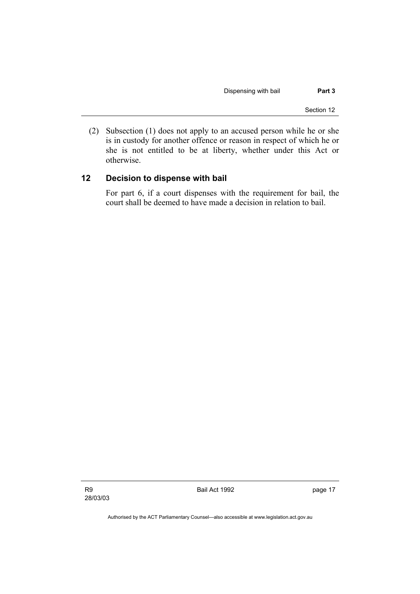Dispensing with bail **Part 3** 

Section 12

 (2) Subsection (1) does not apply to an accused person while he or she is in custody for another offence or reason in respect of which he or she is not entitled to be at liberty, whether under this Act or otherwise.

## **12 Decision to dispense with bail**

For part 6, if a court dispenses with the requirement for bail, the court shall be deemed to have made a decision in relation to bail.

R9 28/03/03 Bail Act 1992 **page 17**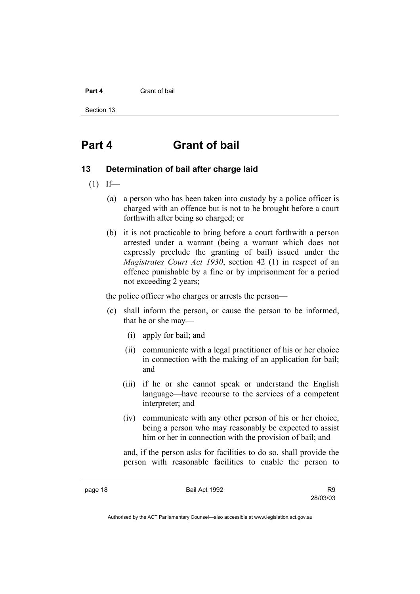#### **Part 4** Grant of bail

Section 13

## **Part 4 Grant of bail**

## **13 Determination of bail after charge laid**

- $(1)$  If—
	- (a) a person who has been taken into custody by a police officer is charged with an offence but is not to be brought before a court forthwith after being so charged; or
	- (b) it is not practicable to bring before a court forthwith a person arrested under a warrant (being a warrant which does not expressly preclude the granting of bail) issued under the *Magistrates Court Act 1930*, section 42 (1) in respect of an offence punishable by a fine or by imprisonment for a period not exceeding 2 years;

the police officer who charges or arrests the person—

- (c) shall inform the person, or cause the person to be informed, that he or she may—
	- (i) apply for bail; and
	- (ii) communicate with a legal practitioner of his or her choice in connection with the making of an application for bail; and
	- (iii) if he or she cannot speak or understand the English language—have recourse to the services of a competent interpreter; and
	- (iv) communicate with any other person of his or her choice, being a person who may reasonably be expected to assist him or her in connection with the provision of bail; and

and, if the person asks for facilities to do so, shall provide the person with reasonable facilities to enable the person to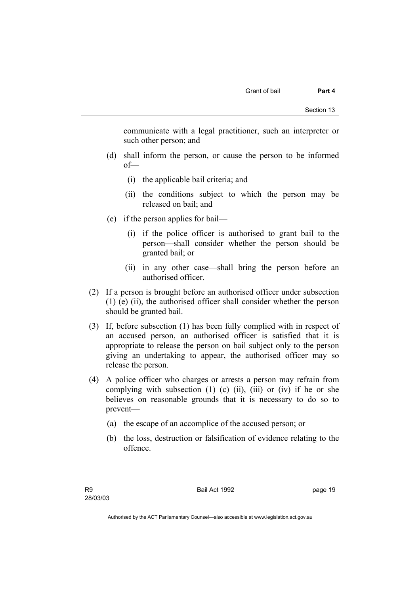communicate with a legal practitioner, such an interpreter or such other person; and

- (d) shall inform the person, or cause the person to be informed of—
	- (i) the applicable bail criteria; and
	- (ii) the conditions subject to which the person may be released on bail; and
- (e) if the person applies for bail—
	- (i) if the police officer is authorised to grant bail to the person—shall consider whether the person should be granted bail; or
	- (ii) in any other case—shall bring the person before an authorised officer.
- (2) If a person is brought before an authorised officer under subsection (1) (e) (ii), the authorised officer shall consider whether the person should be granted bail.
- (3) If, before subsection (1) has been fully complied with in respect of an accused person, an authorised officer is satisfied that it is appropriate to release the person on bail subject only to the person giving an undertaking to appear, the authorised officer may so release the person.
- (4) A police officer who charges or arrests a person may refrain from complying with subsection  $(1)$   $(c)$   $(ii)$ ,  $(iii)$  or  $(iv)$  if he or she believes on reasonable grounds that it is necessary to do so to prevent—
	- (a) the escape of an accomplice of the accused person; or
	- (b) the loss, destruction or falsification of evidence relating to the offence.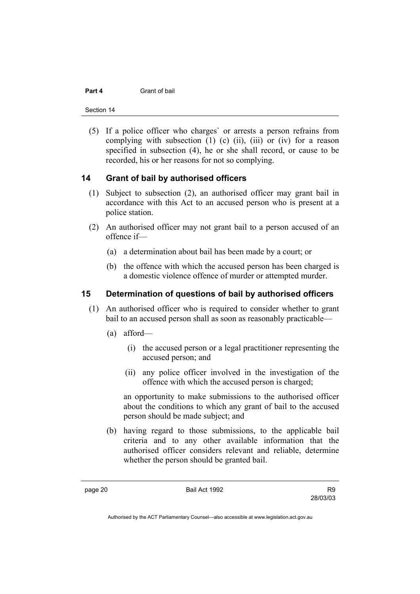#### **Part 4** Grant of bail

Section 14

 (5) If a police officer who charges` or arrests a person refrains from complying with subsection  $(1)$   $(c)$   $(ii)$ ,  $(iii)$  or  $(iv)$  for a reason specified in subsection (4), he or she shall record, or cause to be recorded, his or her reasons for not so complying.

## **14 Grant of bail by authorised officers**

- (1) Subject to subsection (2), an authorised officer may grant bail in accordance with this Act to an accused person who is present at a police station.
- (2) An authorised officer may not grant bail to a person accused of an offence if—
	- (a) a determination about bail has been made by a court; or
	- (b) the offence with which the accused person has been charged is a domestic violence offence of murder or attempted murder.

## **15 Determination of questions of bail by authorised officers**

- (1) An authorised officer who is required to consider whether to grant bail to an accused person shall as soon as reasonably practicable—
	- (a) afford—
		- (i) the accused person or a legal practitioner representing the accused person; and
		- (ii) any police officer involved in the investigation of the offence with which the accused person is charged;

an opportunity to make submissions to the authorised officer about the conditions to which any grant of bail to the accused person should be made subject; and

 (b) having regard to those submissions, to the applicable bail criteria and to any other available information that the authorised officer considers relevant and reliable, determine whether the person should be granted bail.

page 20 R9 Bail Act 1992

28/03/03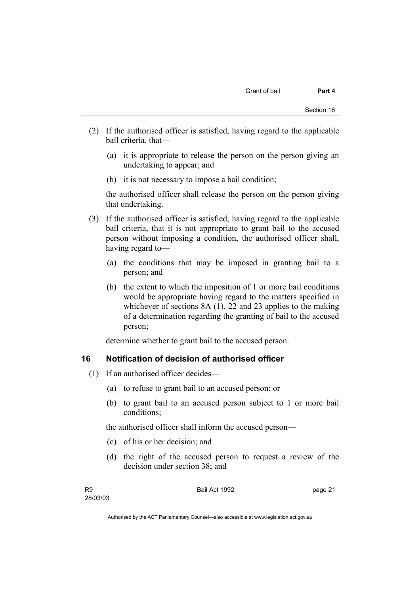- (2) If the authorised officer is satisfied, having regard to the applicable bail criteria, that—
	- (a) it is appropriate to release the person on the person giving an undertaking to appear; and
	- (b) it is not necessary to impose a bail condition;

the authorised officer shall release the person on the person giving that undertaking.

- (3) If the authorised officer is satisfied, having regard to the applicable bail criteria, that it is not appropriate to grant bail to the accused person without imposing a condition, the authorised officer shall, having regard to—
	- (a) the conditions that may be imposed in granting bail to a person; and
	- (b) the extent to which the imposition of 1 or more bail conditions would be appropriate having regard to the matters specified in whichever of sections 8A (1), 22 and 23 applies to the making of a determination regarding the granting of bail to the accused person;

determine whether to grant bail to the accused person.

### **16 Notification of decision of authorised officer**

- (1) If an authorised officer decides—
	- (a) to refuse to grant bail to an accused person; or
	- (b) to grant bail to an accused person subject to 1 or more bail conditions;

the authorised officer shall inform the accused person—

- (c) of his or her decision; and
- (d) the right of the accused person to request a review of the decision under section 38; and

Bail Act 1992 page 21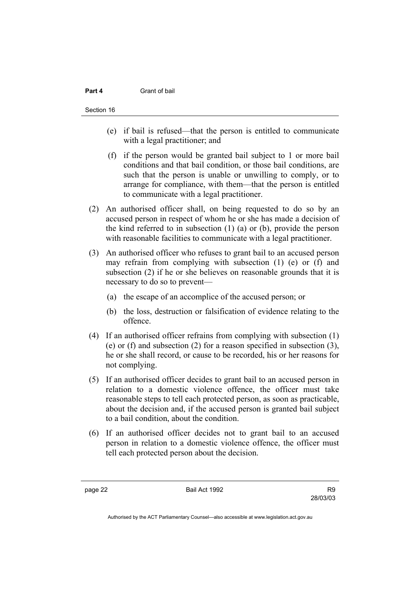#### **Part 4** Grant of bail

#### Section 16

- (e) if bail is refused—that the person is entitled to communicate with a legal practitioner; and
- (f) if the person would be granted bail subject to 1 or more bail conditions and that bail condition, or those bail conditions, are such that the person is unable or unwilling to comply, or to arrange for compliance, with them—that the person is entitled to communicate with a legal practitioner.
- (2) An authorised officer shall, on being requested to do so by an accused person in respect of whom he or she has made a decision of the kind referred to in subsection (1) (a) or (b), provide the person with reasonable facilities to communicate with a legal practitioner.
- (3) An authorised officer who refuses to grant bail to an accused person may refrain from complying with subsection (1) (e) or (f) and subsection (2) if he or she believes on reasonable grounds that it is necessary to do so to prevent—
	- (a) the escape of an accomplice of the accused person; or
	- (b) the loss, destruction or falsification of evidence relating to the offence.
- (4) If an authorised officer refrains from complying with subsection (1) (e) or (f) and subsection (2) for a reason specified in subsection (3), he or she shall record, or cause to be recorded, his or her reasons for not complying.
- (5) If an authorised officer decides to grant bail to an accused person in relation to a domestic violence offence, the officer must take reasonable steps to tell each protected person, as soon as practicable, about the decision and, if the accused person is granted bail subject to a bail condition, about the condition.
- (6) If an authorised officer decides not to grant bail to an accused person in relation to a domestic violence offence, the officer must tell each protected person about the decision.

page 22 R9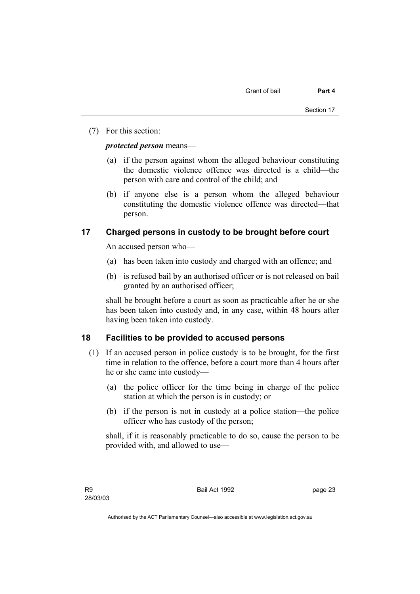(7) For this section:

### *protected person* means—

- (a) if the person against whom the alleged behaviour constituting the domestic violence offence was directed is a child—the person with care and control of the child; and
- (b) if anyone else is a person whom the alleged behaviour constituting the domestic violence offence was directed—that person.

## **17 Charged persons in custody to be brought before court**

An accused person who—

- (a) has been taken into custody and charged with an offence; and
- (b) is refused bail by an authorised officer or is not released on bail granted by an authorised officer;

shall be brought before a court as soon as practicable after he or she has been taken into custody and, in any case, within 48 hours after having been taken into custody.

## **18 Facilities to be provided to accused persons**

- (1) If an accused person in police custody is to be brought, for the first time in relation to the offence, before a court more than 4 hours after he or she came into custody—
	- (a) the police officer for the time being in charge of the police station at which the person is in custody; or
	- (b) if the person is not in custody at a police station—the police officer who has custody of the person;

shall, if it is reasonably practicable to do so, cause the person to be provided with, and allowed to use—

R9 28/03/03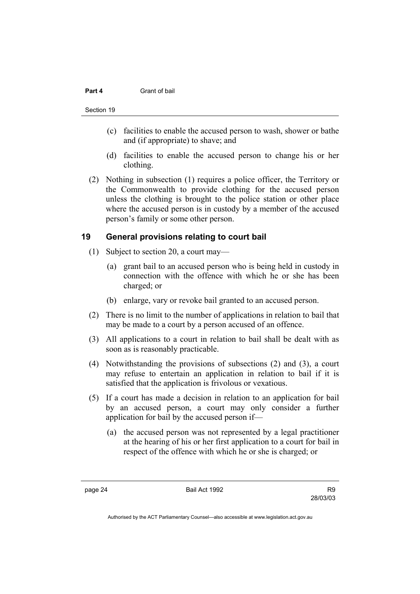#### **Part 4** Grant of bail

- (c) facilities to enable the accused person to wash, shower or bathe and (if appropriate) to shave; and
- (d) facilities to enable the accused person to change his or her clothing.
- (2) Nothing in subsection (1) requires a police officer, the Territory or the Commonwealth to provide clothing for the accused person unless the clothing is brought to the police station or other place where the accused person is in custody by a member of the accused person's family or some other person.

## **19 General provisions relating to court bail**

- (1) Subject to section 20, a court may—
	- (a) grant bail to an accused person who is being held in custody in connection with the offence with which he or she has been charged; or
	- (b) enlarge, vary or revoke bail granted to an accused person.
- (2) There is no limit to the number of applications in relation to bail that may be made to a court by a person accused of an offence.
- (3) All applications to a court in relation to bail shall be dealt with as soon as is reasonably practicable.
- (4) Notwithstanding the provisions of subsections (2) and (3), a court may refuse to entertain an application in relation to bail if it is satisfied that the application is frivolous or vexatious.
- (5) If a court has made a decision in relation to an application for bail by an accused person, a court may only consider a further application for bail by the accused person if—
	- (a) the accused person was not represented by a legal practitioner at the hearing of his or her first application to a court for bail in respect of the offence with which he or she is charged; or

page 24 R9

28/03/03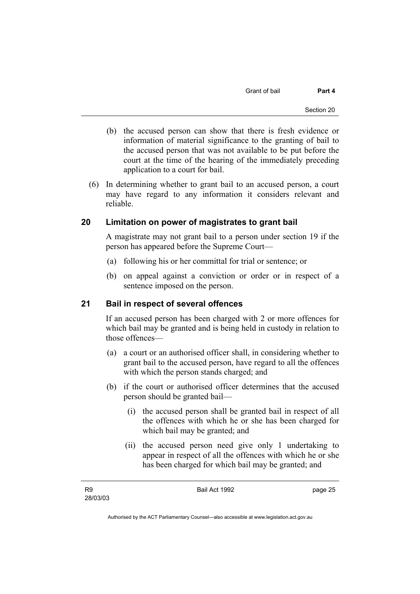- (b) the accused person can show that there is fresh evidence or information of material significance to the granting of bail to the accused person that was not available to be put before the court at the time of the hearing of the immediately preceding application to a court for bail.
- (6) In determining whether to grant bail to an accused person, a court may have regard to any information it considers relevant and reliable.

## **20 Limitation on power of magistrates to grant bail**

A magistrate may not grant bail to a person under section 19 if the person has appeared before the Supreme Court—

- (a) following his or her committal for trial or sentence; or
- (b) on appeal against a conviction or order or in respect of a sentence imposed on the person.

## **21 Bail in respect of several offences**

If an accused person has been charged with 2 or more offences for which bail may be granted and is being held in custody in relation to those offences—

- (a) a court or an authorised officer shall, in considering whether to grant bail to the accused person, have regard to all the offences with which the person stands charged; and
- (b) if the court or authorised officer determines that the accused person should be granted bail—
	- (i) the accused person shall be granted bail in respect of all the offences with which he or she has been charged for which bail may be granted; and
	- (ii) the accused person need give only 1 undertaking to appear in respect of all the offences with which he or she has been charged for which bail may be granted; and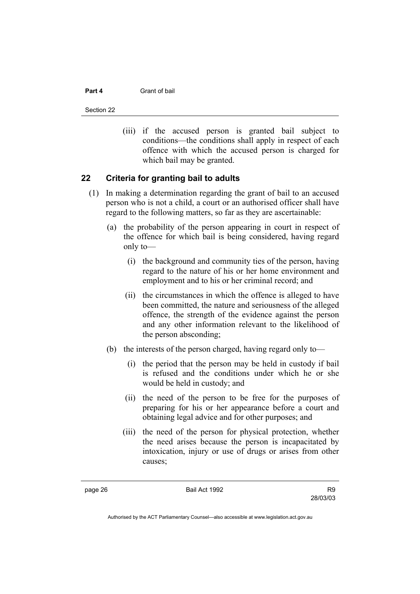#### **Part 4** Grant of bail

Section 22

 (iii) if the accused person is granted bail subject to conditions—the conditions shall apply in respect of each offence with which the accused person is charged for which bail may be granted.

## **22 Criteria for granting bail to adults**

- (1) In making a determination regarding the grant of bail to an accused person who is not a child, a court or an authorised officer shall have regard to the following matters, so far as they are ascertainable:
	- (a) the probability of the person appearing in court in respect of the offence for which bail is being considered, having regard only to—
		- (i) the background and community ties of the person, having regard to the nature of his or her home environment and employment and to his or her criminal record; and
		- (ii) the circumstances in which the offence is alleged to have been committed, the nature and seriousness of the alleged offence, the strength of the evidence against the person and any other information relevant to the likelihood of the person absconding;
	- (b) the interests of the person charged, having regard only to—
		- (i) the period that the person may be held in custody if bail is refused and the conditions under which he or she would be held in custody; and
		- (ii) the need of the person to be free for the purposes of preparing for his or her appearance before a court and obtaining legal advice and for other purposes; and
		- (iii) the need of the person for physical protection, whether the need arises because the person is incapacitated by intoxication, injury or use of drugs or arises from other causes;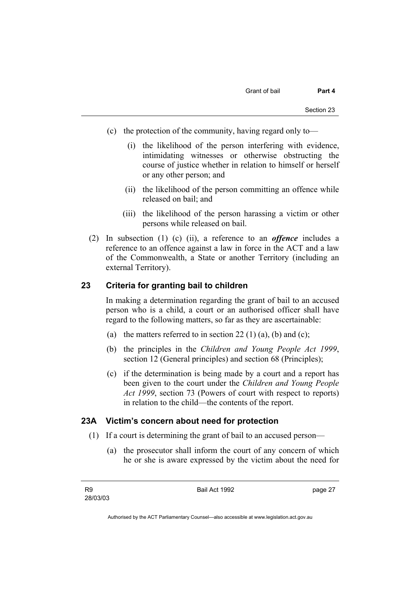- (c) the protection of the community, having regard only to—
	- (i) the likelihood of the person interfering with evidence, intimidating witnesses or otherwise obstructing the course of justice whether in relation to himself or herself or any other person; and
	- (ii) the likelihood of the person committing an offence while released on bail; and
	- (iii) the likelihood of the person harassing a victim or other persons while released on bail.
- (2) In subsection (1) (c) (ii), a reference to an *offence* includes a reference to an offence against a law in force in the ACT and a law of the Commonwealth, a State or another Territory (including an external Territory).

## **23 Criteria for granting bail to children**

In making a determination regarding the grant of bail to an accused person who is a child, a court or an authorised officer shall have regard to the following matters, so far as they are ascertainable:

- (a) the matters referred to in section 22 (1) (a), (b) and (c);
- (b) the principles in the *Children and Young People Act 1999*, section 12 (General principles) and section 68 (Principles);
- (c) if the determination is being made by a court and a report has been given to the court under the *Children and Young People Act 1999*, section 73 (Powers of court with respect to reports) in relation to the child—the contents of the report.

## **23A Victim's concern about need for protection**

- (1) If a court is determining the grant of bail to an accused person—
	- (a) the prosecutor shall inform the court of any concern of which he or she is aware expressed by the victim about the need for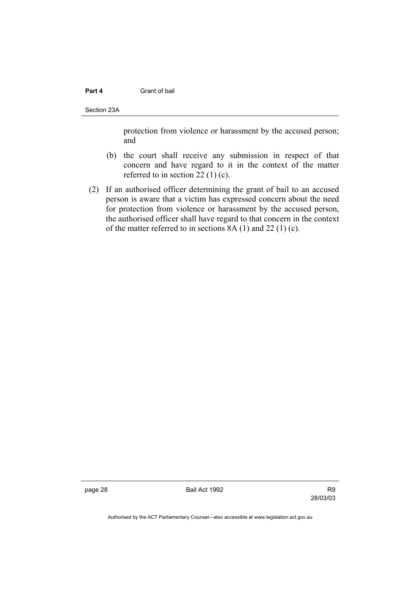#### **Part 4 Grant of bail**

Section 23A

protection from violence or harassment by the accused person; and

- (b) the court shall receive any submission in respect of that concern and have regard to it in the context of the matter referred to in section 22 (1) (c).
- (2) If an authorised officer determining the grant of bail to an accused person is aware that a victim has expressed concern about the need for protection from violence or harassment by the accused person, the authorised officer shall have regard to that concern in the context of the matter referred to in sections 8A (1) and 22 (1) (c).

page 28 and 20 Bail Act 1992

28/03/03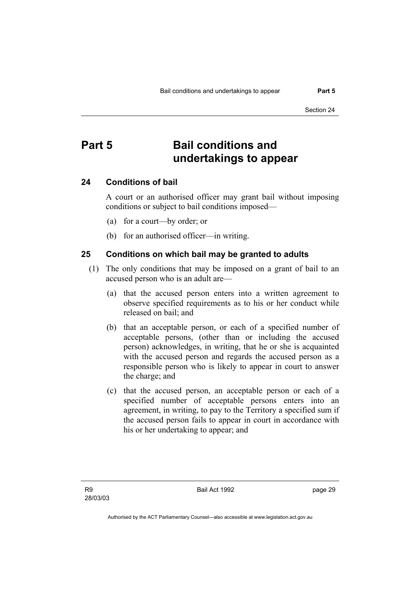## **Part 5 Bail conditions and undertakings to appear**

## **24 Conditions of bail**

A court or an authorised officer may grant bail without imposing conditions or subject to bail conditions imposed—

- (a) for a court—by order; or
- (b) for an authorised officer—in writing.

## **25 Conditions on which bail may be granted to adults**

- (1) The only conditions that may be imposed on a grant of bail to an accused person who is an adult are—
	- (a) that the accused person enters into a written agreement to observe specified requirements as to his or her conduct while released on bail; and
	- (b) that an acceptable person, or each of a specified number of acceptable persons, (other than or including the accused person) acknowledges, in writing, that he or she is acquainted with the accused person and regards the accused person as a responsible person who is likely to appear in court to answer the charge; and
	- (c) that the accused person, an acceptable person or each of a specified number of acceptable persons enters into an agreement, in writing, to pay to the Territory a specified sum if the accused person fails to appear in court in accordance with his or her undertaking to appear; and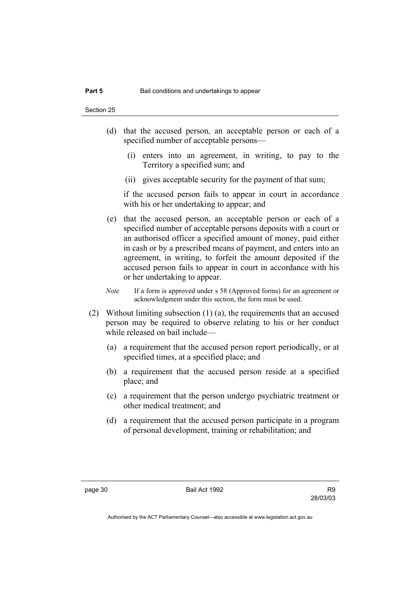- (d) that the accused person, an acceptable person or each of a specified number of acceptable persons—
	- (i) enters into an agreement, in writing, to pay to the Territory a specified sum; and
	- (ii) gives acceptable security for the payment of that sum;

if the accused person fails to appear in court in accordance with his or her undertaking to appear; and

- (e) that the accused person, an acceptable person or each of a specified number of acceptable persons deposits with a court or an authorised officer a specified amount of money, paid either in cash or by a prescribed means of payment, and enters into an agreement, in writing, to forfeit the amount deposited if the accused person fails to appear in court in accordance with his or her undertaking to appear.
- *Note* If a form is approved under s 58 (Approved forms) for an agreement or acknowledgment under this section, the form must be used.
- (2) Without limiting subsection (1) (a), the requirements that an accused person may be required to observe relating to his or her conduct while released on bail include—
	- (a) a requirement that the accused person report periodically, or at specified times, at a specified place; and
	- (b) a requirement that the accused person reside at a specified place; and
	- (c) a requirement that the person undergo psychiatric treatment or other medical treatment; and
	- (d) a requirement that the accused person participate in a program of personal development, training or rehabilitation; and

page 30 Bail Act 1992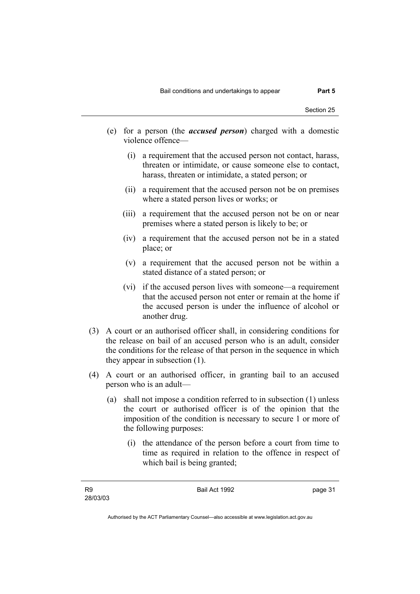- (e) for a person (the *accused person*) charged with a domestic violence offence—
	- (i) a requirement that the accused person not contact, harass, threaten or intimidate, or cause someone else to contact, harass, threaten or intimidate, a stated person; or
	- (ii) a requirement that the accused person not be on premises where a stated person lives or works; or
	- (iii) a requirement that the accused person not be on or near premises where a stated person is likely to be; or
	- (iv) a requirement that the accused person not be in a stated place; or
	- (v) a requirement that the accused person not be within a stated distance of a stated person; or
	- (vi) if the accused person lives with someone—a requirement that the accused person not enter or remain at the home if the accused person is under the influence of alcohol or another drug.
- (3) A court or an authorised officer shall, in considering conditions for the release on bail of an accused person who is an adult, consider the conditions for the release of that person in the sequence in which they appear in subsection (1).
- (4) A court or an authorised officer, in granting bail to an accused person who is an adult—
	- (a) shall not impose a condition referred to in subsection (1) unless the court or authorised officer is of the opinion that the imposition of the condition is necessary to secure 1 or more of the following purposes:
		- (i) the attendance of the person before a court from time to time as required in relation to the offence in respect of which bail is being granted;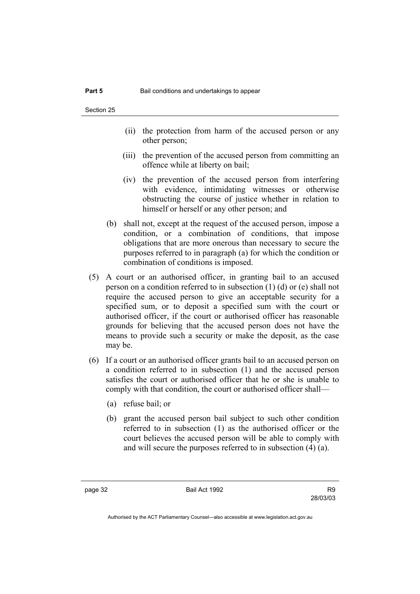- (ii) the protection from harm of the accused person or any other person;
- (iii) the prevention of the accused person from committing an offence while at liberty on bail;
- (iv) the prevention of the accused person from interfering with evidence, intimidating witnesses or otherwise obstructing the course of justice whether in relation to himself or herself or any other person; and
- (b) shall not, except at the request of the accused person, impose a condition, or a combination of conditions, that impose obligations that are more onerous than necessary to secure the purposes referred to in paragraph (a) for which the condition or combination of conditions is imposed.
- (5) A court or an authorised officer, in granting bail to an accused person on a condition referred to in subsection (1) (d) or (e) shall not require the accused person to give an acceptable security for a specified sum, or to deposit a specified sum with the court or authorised officer, if the court or authorised officer has reasonable grounds for believing that the accused person does not have the means to provide such a security or make the deposit, as the case may be.
- (6) If a court or an authorised officer grants bail to an accused person on a condition referred to in subsection (1) and the accused person satisfies the court or authorised officer that he or she is unable to comply with that condition, the court or authorised officer shall—
	- (a) refuse bail; or
	- (b) grant the accused person bail subject to such other condition referred to in subsection (1) as the authorised officer or the court believes the accused person will be able to comply with and will secure the purposes referred to in subsection (4) (a).

page 32 R9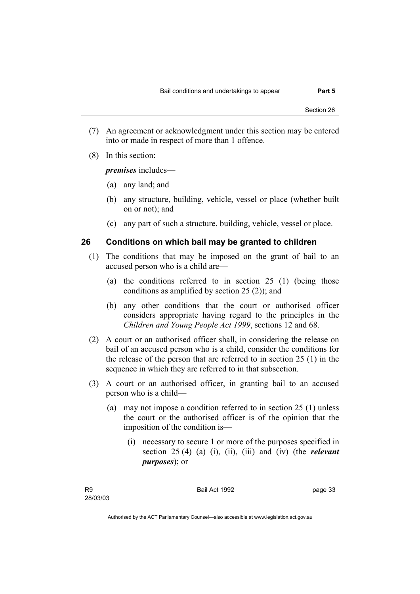- (7) An agreement or acknowledgment under this section may be entered into or made in respect of more than 1 offence.
- (8) In this section:

*premises* includes—

- (a) any land; and
- (b) any structure, building, vehicle, vessel or place (whether built on or not); and
- (c) any part of such a structure, building, vehicle, vessel or place.

#### **26 Conditions on which bail may be granted to children**

- (1) The conditions that may be imposed on the grant of bail to an accused person who is a child are—
	- (a) the conditions referred to in section 25 (1) (being those conditions as amplified by section 25 (2)); and
	- (b) any other conditions that the court or authorised officer considers appropriate having regard to the principles in the *Children and Young People Act 1999*, sections 12 and 68.
- (2) A court or an authorised officer shall, in considering the release on bail of an accused person who is a child, consider the conditions for the release of the person that are referred to in section 25 (1) in the sequence in which they are referred to in that subsection.
- (3) A court or an authorised officer, in granting bail to an accused person who is a child—
	- (a) may not impose a condition referred to in section 25 (1) unless the court or the authorised officer is of the opinion that the imposition of the condition is—
		- (i) necessary to secure 1 or more of the purposes specified in section 25 (4) (a) (i), (ii), (iii) and (iv) (the *relevant purposes*); or

Bail Act 1992 **page 33**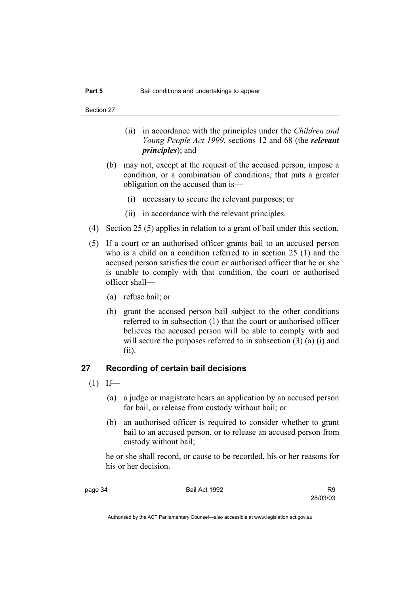- (ii) in accordance with the principles under the *Children and Young People Act 1999*, sections 12 and 68 (the *relevant principles*); and
- (b) may not, except at the request of the accused person, impose a condition, or a combination of conditions, that puts a greater obligation on the accused than is—
	- (i) necessary to secure the relevant purposes; or
	- (ii) in accordance with the relevant principles.
- (4) Section 25 (5) applies in relation to a grant of bail under this section.
- (5) If a court or an authorised officer grants bail to an accused person who is a child on a condition referred to in section 25 (1) and the accused person satisfies the court or authorised officer that he or she is unable to comply with that condition, the court or authorised officer shall—
	- (a) refuse bail; or
	- (b) grant the accused person bail subject to the other conditions referred to in subsection (1) that the court or authorised officer believes the accused person will be able to comply with and will secure the purposes referred to in subsection (3) (a) (i) and (ii).

## **27 Recording of certain bail decisions**

- $(1)$  If—
	- (a) a judge or magistrate hears an application by an accused person for bail, or release from custody without bail; or
	- (b) an authorised officer is required to consider whether to grant bail to an accused person, or to release an accused person from custody without bail;

he or she shall record, or cause to be recorded, his or her reasons for his or her decision.

page 34 R9

28/03/03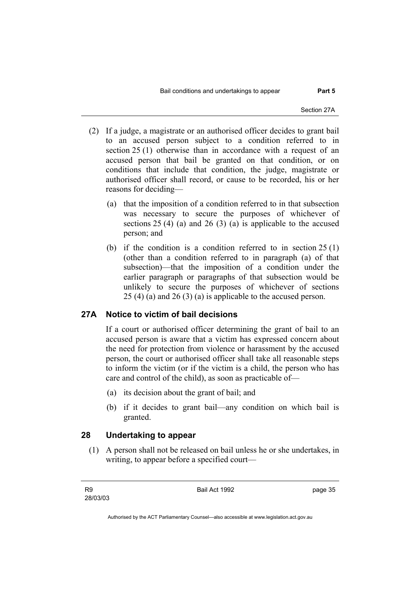- (2) If a judge, a magistrate or an authorised officer decides to grant bail to an accused person subject to a condition referred to in section 25 (1) otherwise than in accordance with a request of an accused person that bail be granted on that condition, or on conditions that include that condition, the judge, magistrate or authorised officer shall record, or cause to be recorded, his or her reasons for deciding—
	- (a) that the imposition of a condition referred to in that subsection was necessary to secure the purposes of whichever of sections 25 (4) (a) and 26 (3) (a) is applicable to the accused person; and
	- (b) if the condition is a condition referred to in section 25 (1) (other than a condition referred to in paragraph (a) of that subsection)—that the imposition of a condition under the earlier paragraph or paragraphs of that subsection would be unlikely to secure the purposes of whichever of sections 25 (4) (a) and 26 (3) (a) is applicable to the accused person.

## **27A Notice to victim of bail decisions**

If a court or authorised officer determining the grant of bail to an accused person is aware that a victim has expressed concern about the need for protection from violence or harassment by the accused person, the court or authorised officer shall take all reasonable steps to inform the victim (or if the victim is a child, the person who has care and control of the child), as soon as practicable of—

- (a) its decision about the grant of bail; and
- (b) if it decides to grant bail—any condition on which bail is granted.

## **28 Undertaking to appear**

 (1) A person shall not be released on bail unless he or she undertakes, in writing, to appear before a specified court—

Bail Act 1992 **page 35**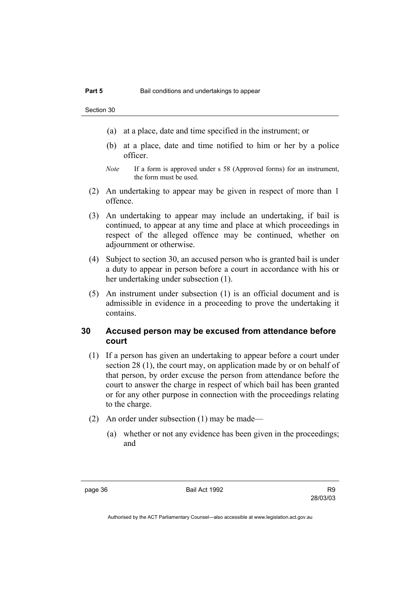- (a) at a place, date and time specified in the instrument; or
- (b) at a place, date and time notified to him or her by a police officer.
- *Note* If a form is approved under s 58 (Approved forms) for an instrument, the form must be used.
- (2) An undertaking to appear may be given in respect of more than 1 offence.
- (3) An undertaking to appear may include an undertaking, if bail is continued, to appear at any time and place at which proceedings in respect of the alleged offence may be continued, whether on adjournment or otherwise.
- (4) Subject to section 30, an accused person who is granted bail is under a duty to appear in person before a court in accordance with his or her undertaking under subsection (1).
- (5) An instrument under subsection (1) is an official document and is admissible in evidence in a proceeding to prove the undertaking it contains.

## **30 Accused person may be excused from attendance before court**

- (1) If a person has given an undertaking to appear before a court under section 28 (1), the court may, on application made by or on behalf of that person, by order excuse the person from attendance before the court to answer the charge in respect of which bail has been granted or for any other purpose in connection with the proceedings relating to the charge.
- (2) An order under subsection (1) may be made—
	- (a) whether or not any evidence has been given in the proceedings; and

page 36 Bail Act 1992 Bail Act 1992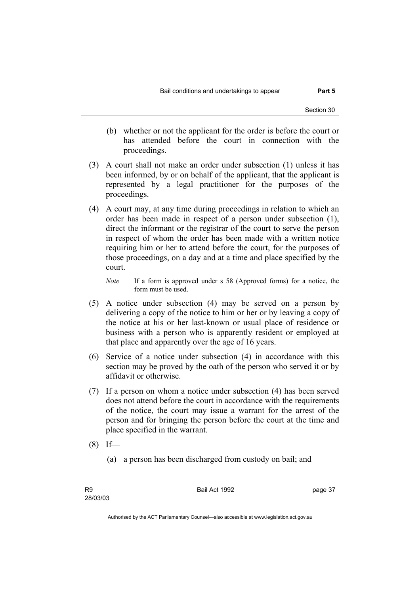- (b) whether or not the applicant for the order is before the court or has attended before the court in connection with the proceedings.
- (3) A court shall not make an order under subsection (1) unless it has been informed, by or on behalf of the applicant, that the applicant is represented by a legal practitioner for the purposes of the proceedings.
- (4) A court may, at any time during proceedings in relation to which an order has been made in respect of a person under subsection (1), direct the informant or the registrar of the court to serve the person in respect of whom the order has been made with a written notice requiring him or her to attend before the court, for the purposes of those proceedings, on a day and at a time and place specified by the court.
	- *Note* If a form is approved under s 58 (Approved forms) for a notice, the form must be used.
- (5) A notice under subsection (4) may be served on a person by delivering a copy of the notice to him or her or by leaving a copy of the notice at his or her last-known or usual place of residence or business with a person who is apparently resident or employed at that place and apparently over the age of 16 years.
- (6) Service of a notice under subsection (4) in accordance with this section may be proved by the oath of the person who served it or by affidavit or otherwise.
- (7) If a person on whom a notice under subsection (4) has been served does not attend before the court in accordance with the requirements of the notice, the court may issue a warrant for the arrest of the person and for bringing the person before the court at the time and place specified in the warrant.
- $(8)$  If—
	- (a) a person has been discharged from custody on bail; and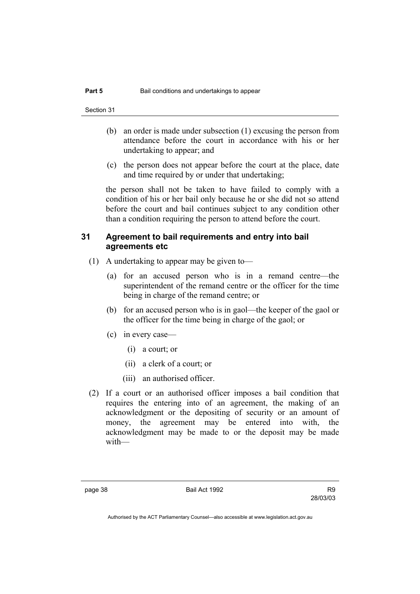- (b) an order is made under subsection (1) excusing the person from attendance before the court in accordance with his or her undertaking to appear; and
- (c) the person does not appear before the court at the place, date and time required by or under that undertaking;

the person shall not be taken to have failed to comply with a condition of his or her bail only because he or she did not so attend before the court and bail continues subject to any condition other than a condition requiring the person to attend before the court.

## **31 Agreement to bail requirements and entry into bail agreements etc**

- (1) A undertaking to appear may be given to—
	- (a) for an accused person who is in a remand centre—the superintendent of the remand centre or the officer for the time being in charge of the remand centre; or
	- (b) for an accused person who is in gaol—the keeper of the gaol or the officer for the time being in charge of the gaol; or
	- (c) in every case—
		- (i) a court; or
		- (ii) a clerk of a court; or
		- (iii) an authorised officer.
- (2) If a court or an authorised officer imposes a bail condition that requires the entering into of an agreement, the making of an acknowledgment or the depositing of security or an amount of money, the agreement may be entered into with, the acknowledgment may be made to or the deposit may be made with—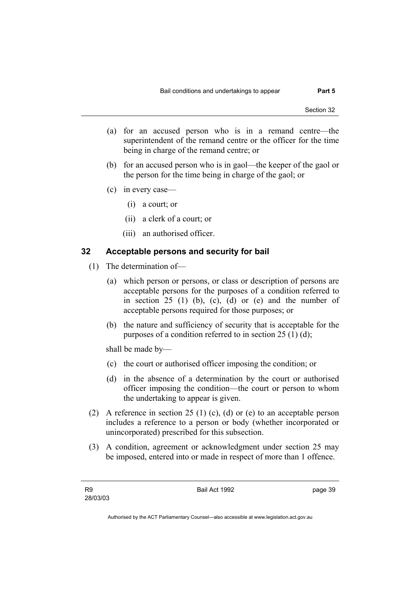- (a) for an accused person who is in a remand centre—the superintendent of the remand centre or the officer for the time being in charge of the remand centre; or
- (b) for an accused person who is in gaol—the keeper of the gaol or the person for the time being in charge of the gaol; or
- (c) in every case—
	- (i) a court; or
	- (ii) a clerk of a court; or
	- (iii) an authorised officer.

## **32 Acceptable persons and security for bail**

- (1) The determination of—
	- (a) which person or persons, or class or description of persons are acceptable persons for the purposes of a condition referred to in section  $25$  (1) (b), (c), (d) or (e) and the number of acceptable persons required for those purposes; or
	- (b) the nature and sufficiency of security that is acceptable for the purposes of a condition referred to in section 25 (1) (d);

shall be made by—

- (c) the court or authorised officer imposing the condition; or
- (d) in the absence of a determination by the court or authorised officer imposing the condition—the court or person to whom the undertaking to appear is given.
- (2) A reference in section 25 (1) (c), (d) or (e) to an acceptable person includes a reference to a person or body (whether incorporated or unincorporated) prescribed for this subsection.
- (3) A condition, agreement or acknowledgment under section 25 may be imposed, entered into or made in respect of more than 1 offence.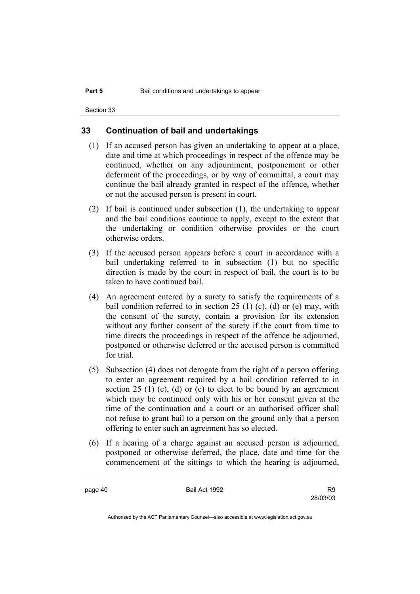## **33 Continuation of bail and undertakings**

- (1) If an accused person has given an undertaking to appear at a place, date and time at which proceedings in respect of the offence may be continued, whether on any adjournment, postponement or other deferment of the proceedings, or by way of committal, a court may continue the bail already granted in respect of the offence, whether or not the accused person is present in court.
- (2) If bail is continued under subsection (1), the undertaking to appear and the bail conditions continue to apply, except to the extent that the undertaking or condition otherwise provides or the court otherwise orders.
- (3) If the accused person appears before a court in accordance with a bail undertaking referred to in subsection (1) but no specific direction is made by the court in respect of bail, the court is to be taken to have continued bail.
- (4) An agreement entered by a surety to satisfy the requirements of a bail condition referred to in section 25 (1) (c), (d) or (e) may, with the consent of the surety, contain a provision for its extension without any further consent of the surety if the court from time to time directs the proceedings in respect of the offence be adjourned, postponed or otherwise deferred or the accused person is committed for trial.
- (5) Subsection (4) does not derogate from the right of a person offering to enter an agreement required by a bail condition referred to in section 25 (1) (c), (d) or (e) to elect to be bound by an agreement which may be continued only with his or her consent given at the time of the continuation and a court or an authorised officer shall not refuse to grant bail to a person on the ground only that a person offering to enter such an agreement has so elected.
- (6) If a hearing of a charge against an accused person is adjourned, postponed or otherwise deferred, the place, date and time for the commencement of the sittings to which the hearing is adjourned,

page 40 Bail Act 1992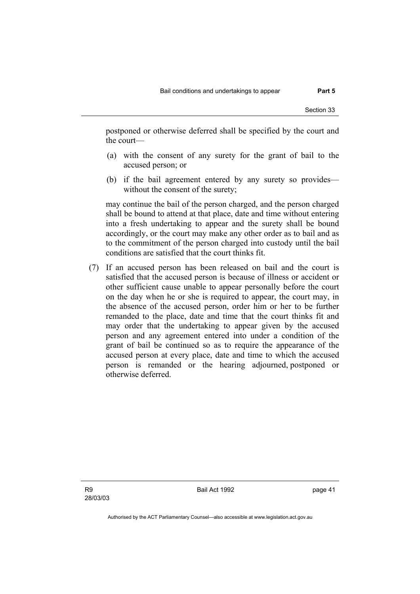postponed or otherwise deferred shall be specified by the court and the court—

- (a) with the consent of any surety for the grant of bail to the accused person; or
- (b) if the bail agreement entered by any surety so provides without the consent of the surety;

may continue the bail of the person charged, and the person charged shall be bound to attend at that place, date and time without entering into a fresh undertaking to appear and the surety shall be bound accordingly, or the court may make any other order as to bail and as to the commitment of the person charged into custody until the bail conditions are satisfied that the court thinks fit.

 (7) If an accused person has been released on bail and the court is satisfied that the accused person is because of illness or accident or other sufficient cause unable to appear personally before the court on the day when he or she is required to appear, the court may, in the absence of the accused person, order him or her to be further remanded to the place, date and time that the court thinks fit and may order that the undertaking to appear given by the accused person and any agreement entered into under a condition of the grant of bail be continued so as to require the appearance of the accused person at every place, date and time to which the accused person is remanded or the hearing adjourned, postponed or otherwise deferred.

R9 28/03/03 Bail Act 1992 **page 41**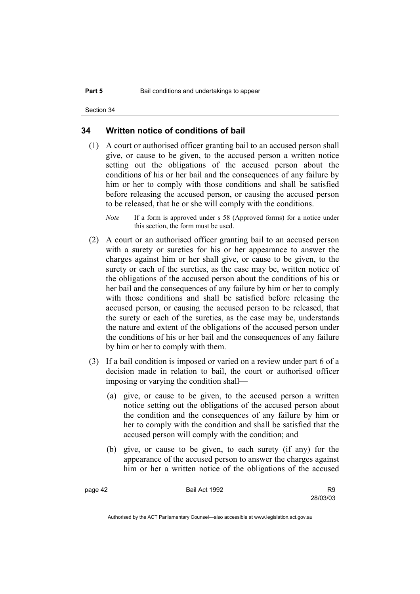## **34 Written notice of conditions of bail**

 (1) A court or authorised officer granting bail to an accused person shall give, or cause to be given, to the accused person a written notice setting out the obligations of the accused person about the conditions of his or her bail and the consequences of any failure by him or her to comply with those conditions and shall be satisfied before releasing the accused person, or causing the accused person to be released, that he or she will comply with the conditions.

*Note* If a form is approved under s 58 (Approved forms) for a notice under this section, the form must be used.

- (2) A court or an authorised officer granting bail to an accused person with a surety or sureties for his or her appearance to answer the charges against him or her shall give, or cause to be given, to the surety or each of the sureties, as the case may be, written notice of the obligations of the accused person about the conditions of his or her bail and the consequences of any failure by him or her to comply with those conditions and shall be satisfied before releasing the accused person, or causing the accused person to be released, that the surety or each of the sureties, as the case may be, understands the nature and extent of the obligations of the accused person under the conditions of his or her bail and the consequences of any failure by him or her to comply with them.
- (3) If a bail condition is imposed or varied on a review under part 6 of a decision made in relation to bail, the court or authorised officer imposing or varying the condition shall—
	- (a) give, or cause to be given, to the accused person a written notice setting out the obligations of the accused person about the condition and the consequences of any failure by him or her to comply with the condition and shall be satisfied that the accused person will comply with the condition; and
	- (b) give, or cause to be given, to each surety (if any) for the appearance of the accused person to answer the charges against him or her a written notice of the obligations of the accused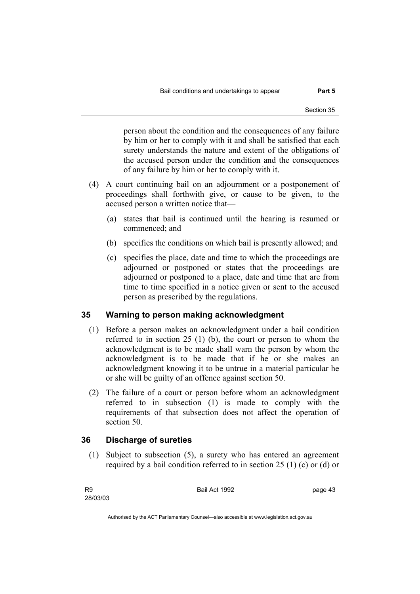person about the condition and the consequences of any failure by him or her to comply with it and shall be satisfied that each surety understands the nature and extent of the obligations of the accused person under the condition and the consequences of any failure by him or her to comply with it.

- (4) A court continuing bail on an adjournment or a postponement of proceedings shall forthwith give, or cause to be given, to the accused person a written notice that—
	- (a) states that bail is continued until the hearing is resumed or commenced; and
	- (b) specifies the conditions on which bail is presently allowed; and
	- (c) specifies the place, date and time to which the proceedings are adjourned or postponed or states that the proceedings are adjourned or postponed to a place, date and time that are from time to time specified in a notice given or sent to the accused person as prescribed by the regulations.

## **35 Warning to person making acknowledgment**

- (1) Before a person makes an acknowledgment under a bail condition referred to in section 25 (1) (b), the court or person to whom the acknowledgment is to be made shall warn the person by whom the acknowledgment is to be made that if he or she makes an acknowledgment knowing it to be untrue in a material particular he or she will be guilty of an offence against section 50.
- (2) The failure of a court or person before whom an acknowledgment referred to in subsection (1) is made to comply with the requirements of that subsection does not affect the operation of section 50.

## **36 Discharge of sureties**

 (1) Subject to subsection (5), a surety who has entered an agreement required by a bail condition referred to in section 25 (1) (c) or (d) or

Bail Act 1992 **page 43**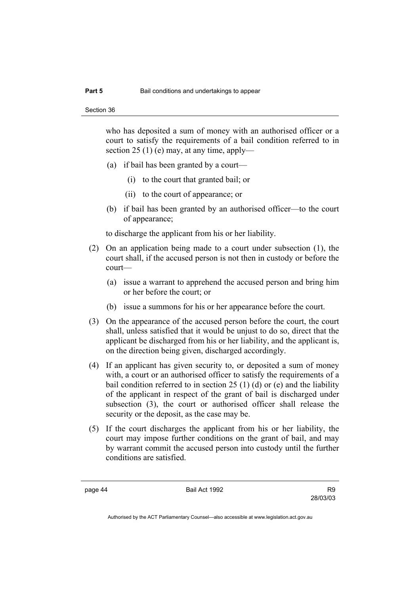who has deposited a sum of money with an authorised officer or a court to satisfy the requirements of a bail condition referred to in section 25 (1) (e) may, at any time, apply—

- (a) if bail has been granted by a court—
	- (i) to the court that granted bail; or
	- (ii) to the court of appearance; or
- (b) if bail has been granted by an authorised officer—to the court of appearance;

to discharge the applicant from his or her liability.

- (2) On an application being made to a court under subsection (1), the court shall, if the accused person is not then in custody or before the court—
	- (a) issue a warrant to apprehend the accused person and bring him or her before the court; or
	- (b) issue a summons for his or her appearance before the court.
- (3) On the appearance of the accused person before the court, the court shall, unless satisfied that it would be unjust to do so, direct that the applicant be discharged from his or her liability, and the applicant is, on the direction being given, discharged accordingly.
- (4) If an applicant has given security to, or deposited a sum of money with, a court or an authorised officer to satisfy the requirements of a bail condition referred to in section 25 (1) (d) or (e) and the liability of the applicant in respect of the grant of bail is discharged under subsection (3), the court or authorised officer shall release the security or the deposit, as the case may be.
- (5) If the court discharges the applicant from his or her liability, the court may impose further conditions on the grant of bail, and may by warrant commit the accused person into custody until the further conditions are satisfied.

page 44 R9 Bail Act 1992

28/03/03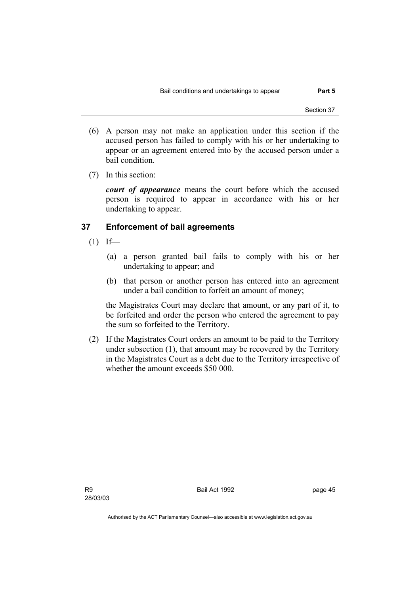- (6) A person may not make an application under this section if the accused person has failed to comply with his or her undertaking to appear or an agreement entered into by the accused person under a bail condition.
- (7) In this section:

*court of appearance* means the court before which the accused person is required to appear in accordance with his or her undertaking to appear.

## **37 Enforcement of bail agreements**

- $(1)$  If—
	- (a) a person granted bail fails to comply with his or her undertaking to appear; and
	- (b) that person or another person has entered into an agreement under a bail condition to forfeit an amount of money;

the Magistrates Court may declare that amount, or any part of it, to be forfeited and order the person who entered the agreement to pay the sum so forfeited to the Territory.

 (2) If the Magistrates Court orders an amount to be paid to the Territory under subsection (1), that amount may be recovered by the Territory in the Magistrates Court as a debt due to the Territory irrespective of whether the amount exceeds \$50 000.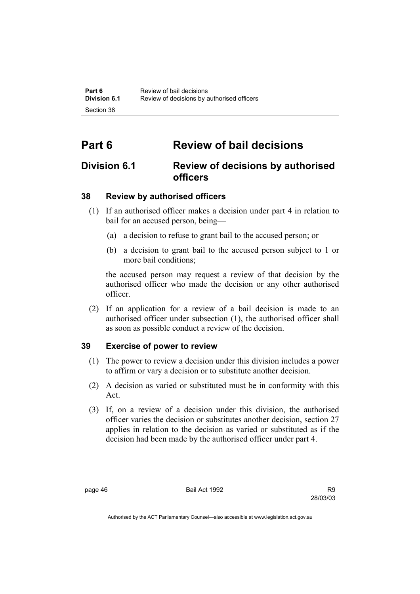# **Part 6 Review of bail decisions**

# **Division 6.1 Review of decisions by authorised officers**

## **38 Review by authorised officers**

- (1) If an authorised officer makes a decision under part 4 in relation to bail for an accused person, being—
	- (a) a decision to refuse to grant bail to the accused person; or
	- (b) a decision to grant bail to the accused person subject to 1 or more bail conditions;

the accused person may request a review of that decision by the authorised officer who made the decision or any other authorised officer.

 (2) If an application for a review of a bail decision is made to an authorised officer under subsection (1), the authorised officer shall as soon as possible conduct a review of the decision.

## **39 Exercise of power to review**

- (1) The power to review a decision under this division includes a power to affirm or vary a decision or to substitute another decision.
- (2) A decision as varied or substituted must be in conformity with this Act.
- (3) If, on a review of a decision under this division, the authorised officer varies the decision or substitutes another decision, section 27 applies in relation to the decision as varied or substituted as if the decision had been made by the authorised officer under part 4.

page 46 Bail Act 1992

28/03/03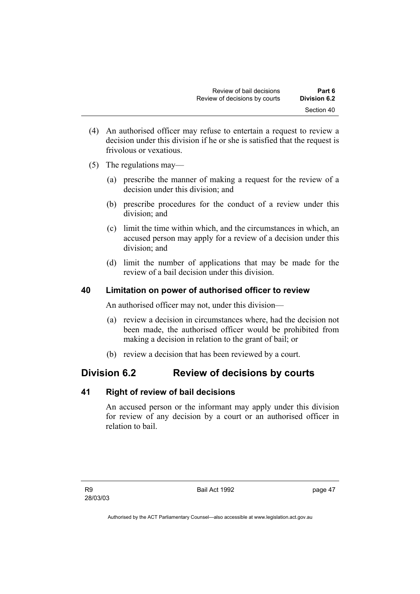- (4) An authorised officer may refuse to entertain a request to review a decision under this division if he or she is satisfied that the request is frivolous or vexatious.
- (5) The regulations may—
	- (a) prescribe the manner of making a request for the review of a decision under this division; and
	- (b) prescribe procedures for the conduct of a review under this division; and
	- (c) limit the time within which, and the circumstances in which, an accused person may apply for a review of a decision under this division; and
	- (d) limit the number of applications that may be made for the review of a bail decision under this division.

## **40 Limitation on power of authorised officer to review**

An authorised officer may not, under this division—

- (a) review a decision in circumstances where, had the decision not been made, the authorised officer would be prohibited from making a decision in relation to the grant of bail; or
- (b) review a decision that has been reviewed by a court.

## **Division 6.2 Review of decisions by courts**

## **41 Right of review of bail decisions**

An accused person or the informant may apply under this division for review of any decision by a court or an authorised officer in relation to bail.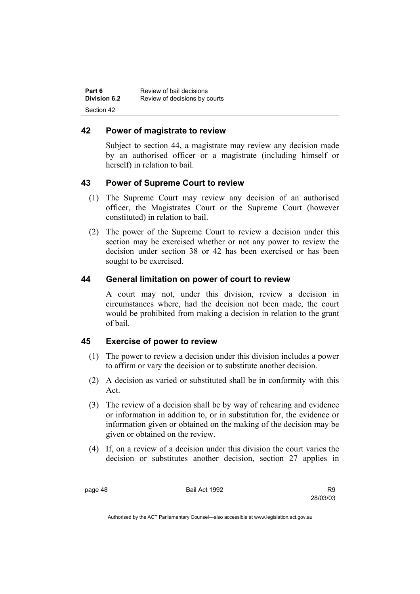| Part 6              | Review of bail decisions      |
|---------------------|-------------------------------|
| <b>Division 6.2</b> | Review of decisions by courts |
| Section 42          |                               |

## **42 Power of magistrate to review**

Subject to section 44, a magistrate may review any decision made by an authorised officer or a magistrate (including himself or herself) in relation to bail.

## **43 Power of Supreme Court to review**

- (1) The Supreme Court may review any decision of an authorised officer, the Magistrates Court or the Supreme Court (however constituted) in relation to bail.
- (2) The power of the Supreme Court to review a decision under this section may be exercised whether or not any power to review the decision under section 38 or 42 has been exercised or has been sought to be exercised.

## **44 General limitation on power of court to review**

A court may not, under this division, review a decision in circumstances where, had the decision not been made, the court would be prohibited from making a decision in relation to the grant of bail.

## **45 Exercise of power to review**

- (1) The power to review a decision under this division includes a power to affirm or vary the decision or to substitute another decision.
- (2) A decision as varied or substituted shall be in conformity with this Act.
- (3) The review of a decision shall be by way of rehearing and evidence or information in addition to, or in substitution for, the evidence or information given or obtained on the making of the decision may be given or obtained on the review.
- (4) If, on a review of a decision under this division the court varies the decision or substitutes another decision, section 27 applies in

page 48 Bail Act 1992

28/03/03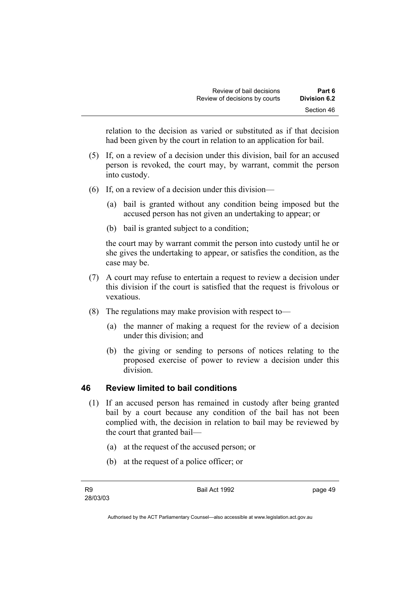relation to the decision as varied or substituted as if that decision had been given by the court in relation to an application for bail.

- (5) If, on a review of a decision under this division, bail for an accused person is revoked, the court may, by warrant, commit the person into custody.
- (6) If, on a review of a decision under this division—
	- (a) bail is granted without any condition being imposed but the accused person has not given an undertaking to appear; or
	- (b) bail is granted subject to a condition;

the court may by warrant commit the person into custody until he or she gives the undertaking to appear, or satisfies the condition, as the case may be.

- (7) A court may refuse to entertain a request to review a decision under this division if the court is satisfied that the request is frivolous or vexatious.
- (8) The regulations may make provision with respect to—
	- (a) the manner of making a request for the review of a decision under this division; and
	- (b) the giving or sending to persons of notices relating to the proposed exercise of power to review a decision under this division.

## **46 Review limited to bail conditions**

- (1) If an accused person has remained in custody after being granted bail by a court because any condition of the bail has not been complied with, the decision in relation to bail may be reviewed by the court that granted bail—
	- (a) at the request of the accused person; or
	- (b) at the request of a police officer; or

Bail Act 1992 **page 49**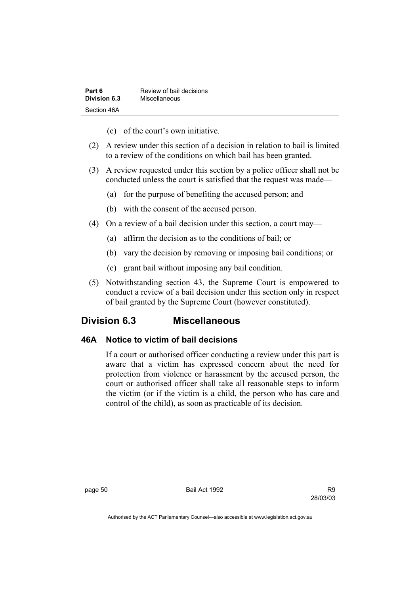| Part 6       | Review of bail decisions |
|--------------|--------------------------|
| Division 6.3 | Miscellaneous            |
| Section 46A  |                          |

- (c) of the court's own initiative.
- (2) A review under this section of a decision in relation to bail is limited to a review of the conditions on which bail has been granted.
- (3) A review requested under this section by a police officer shall not be conducted unless the court is satisfied that the request was made—
	- (a) for the purpose of benefiting the accused person; and
	- (b) with the consent of the accused person.
- (4) On a review of a bail decision under this section, a court may—
	- (a) affirm the decision as to the conditions of bail; or
	- (b) vary the decision by removing or imposing bail conditions; or
	- (c) grant bail without imposing any bail condition.
- (5) Notwithstanding section 43, the Supreme Court is empowered to conduct a review of a bail decision under this section only in respect of bail granted by the Supreme Court (however constituted).

## **Division 6.3 Miscellaneous**

## **46A Notice to victim of bail decisions**

If a court or authorised officer conducting a review under this part is aware that a victim has expressed concern about the need for protection from violence or harassment by the accused person, the court or authorised officer shall take all reasonable steps to inform the victim (or if the victim is a child, the person who has care and control of the child), as soon as practicable of its decision.

page 50 Bail Act 1992

28/03/03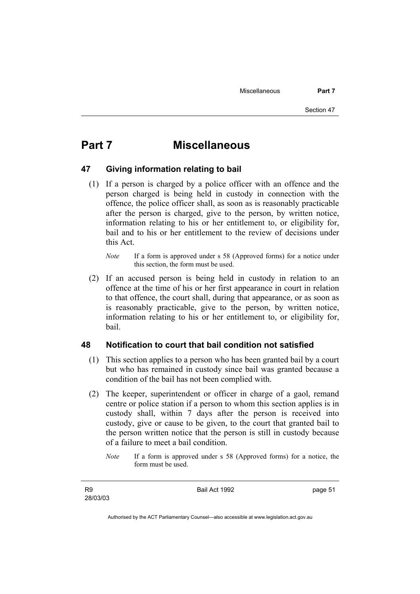# **Part 7 Miscellaneous**

## **47 Giving information relating to bail**

- (1) If a person is charged by a police officer with an offence and the person charged is being held in custody in connection with the offence, the police officer shall, as soon as is reasonably practicable after the person is charged, give to the person, by written notice, information relating to his or her entitlement to, or eligibility for, bail and to his or her entitlement to the review of decisions under this Act.
	- *Note* If a form is approved under s 58 (Approved forms) for a notice under this section, the form must be used.
- (2) If an accused person is being held in custody in relation to an offence at the time of his or her first appearance in court in relation to that offence, the court shall, during that appearance, or as soon as is reasonably practicable, give to the person, by written notice, information relating to his or her entitlement to, or eligibility for, bail.

## **48 Notification to court that bail condition not satisfied**

- (1) This section applies to a person who has been granted bail by a court but who has remained in custody since bail was granted because a condition of the bail has not been complied with.
- (2) The keeper, superintendent or officer in charge of a gaol, remand centre or police station if a person to whom this section applies is in custody shall, within 7 days after the person is received into custody, give or cause to be given, to the court that granted bail to the person written notice that the person is still in custody because of a failure to meet a bail condition.
	- *Note* If a form is approved under s 58 (Approved forms) for a notice, the form must be used.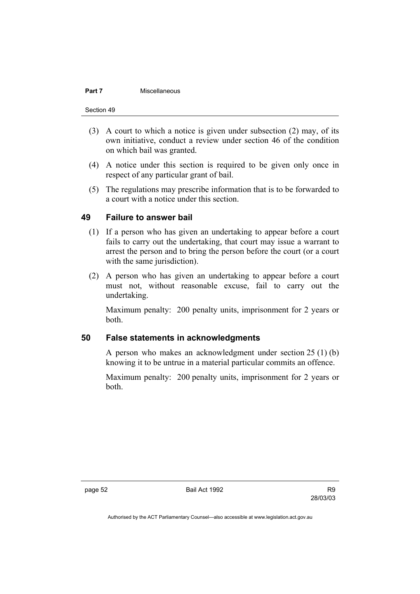## **Part 7 Miscellaneous**

Section 49

- (3) A court to which a notice is given under subsection (2) may, of its own initiative, conduct a review under section 46 of the condition on which bail was granted.
- (4) A notice under this section is required to be given only once in respect of any particular grant of bail.
- (5) The regulations may prescribe information that is to be forwarded to a court with a notice under this section.

## **49 Failure to answer bail**

- (1) If a person who has given an undertaking to appear before a court fails to carry out the undertaking, that court may issue a warrant to arrest the person and to bring the person before the court (or a court with the same jurisdiction).
- (2) A person who has given an undertaking to appear before a court must not, without reasonable excuse, fail to carry out the undertaking.

Maximum penalty: 200 penalty units, imprisonment for 2 years or both.

## **50 False statements in acknowledgments**

A person who makes an acknowledgment under section 25 (1) (b) knowing it to be untrue in a material particular commits an offence.

Maximum penalty: 200 penalty units, imprisonment for 2 years or both.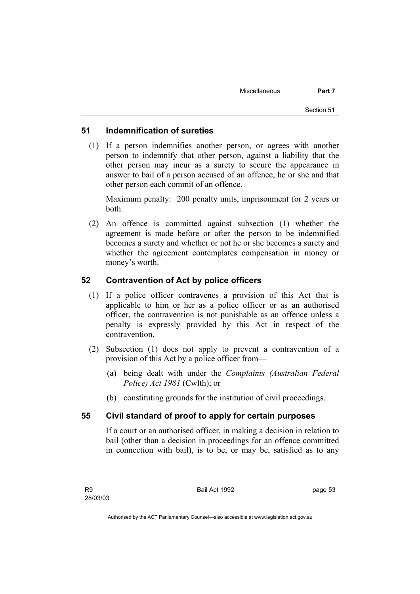## **51 Indemnification of sureties**

 (1) If a person indemnifies another person, or agrees with another person to indemnify that other person, against a liability that the other person may incur as a surety to secure the appearance in answer to bail of a person accused of an offence, he or she and that other person each commit of an offence.

Maximum penalty: 200 penalty units, imprisonment for 2 years or both.

 (2) An offence is committed against subsection (1) whether the agreement is made before or after the person to be indemnified becomes a surety and whether or not he or she becomes a surety and whether the agreement contemplates compensation in money or money's worth.

## **52 Contravention of Act by police officers**

- (1) If a police officer contravenes a provision of this Act that is applicable to him or her as a police officer or as an authorised officer, the contravention is not punishable as an offence unless a penalty is expressly provided by this Act in respect of the contravention.
- (2) Subsection (1) does not apply to prevent a contravention of a provision of this Act by a police officer from—
	- (a) being dealt with under the *Complaints (Australian Federal Police) Act 1981* (Cwlth); or
	- (b) constituting grounds for the institution of civil proceedings.

## **55 Civil standard of proof to apply for certain purposes**

If a court or an authorised officer, in making a decision in relation to bail (other than a decision in proceedings for an offence committed in connection with bail), is to be, or may be, satisfied as to any

Bail Act 1992 **page 53**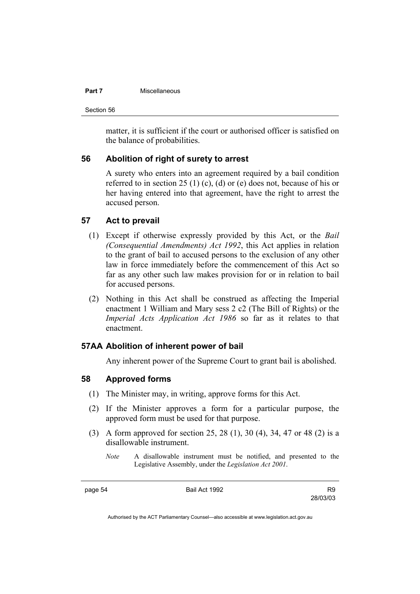## **Part 7 Miscellaneous**

Section 56

matter, it is sufficient if the court or authorised officer is satisfied on the balance of probabilities.

## **56 Abolition of right of surety to arrest**

A surety who enters into an agreement required by a bail condition referred to in section 25 (1) (c), (d) or (e) does not, because of his or her having entered into that agreement, have the right to arrest the accused person.

## **57 Act to prevail**

- (1) Except if otherwise expressly provided by this Act, or the *Bail (Consequential Amendments) Act 1992*, this Act applies in relation to the grant of bail to accused persons to the exclusion of any other law in force immediately before the commencement of this Act so far as any other such law makes provision for or in relation to bail for accused persons.
- (2) Nothing in this Act shall be construed as affecting the Imperial enactment 1 William and Mary sess 2 c2 (The Bill of Rights) or the *Imperial Acts Application Act 1986* so far as it relates to that enactment.

## **57AA Abolition of inherent power of bail**

Any inherent power of the Supreme Court to grant bail is abolished.

## **58 Approved forms**

- (1) The Minister may, in writing, approve forms for this Act.
- (2) If the Minister approves a form for a particular purpose, the approved form must be used for that purpose.
- (3) A form approved for section 25, 28 (1), 30 (4), 34, 47 or 48 (2) is a disallowable instrument.
	- *Note* A disallowable instrument must be notified, and presented to the Legislative Assembly, under the *Legislation Act 2001*.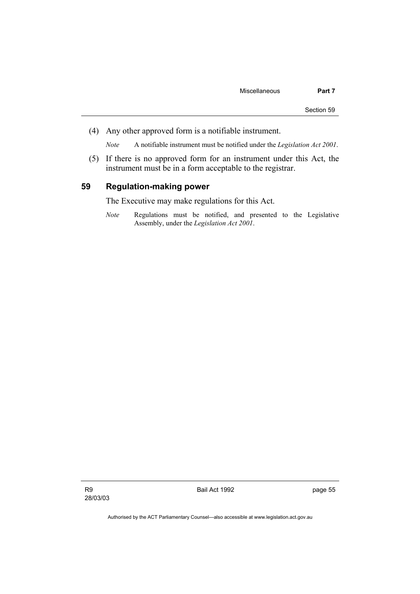(4) Any other approved form is a notifiable instrument.

*Note* A notifiable instrument must be notified under the *Legislation Act 2001*.

 (5) If there is no approved form for an instrument under this Act, the instrument must be in a form acceptable to the registrar.

## **59 Regulation-making power**

The Executive may make regulations for this Act.

*Note* Regulations must be notified, and presented to the Legislative Assembly, under the *Legislation Act 2001*.

Bail Act 1992 **page 55**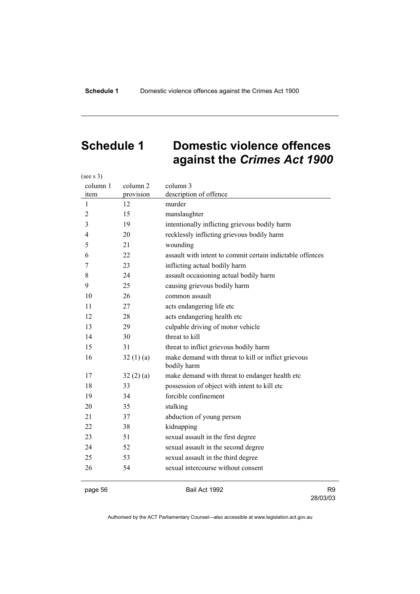(see s 3)

# **Schedule 1 Domestic violence offences against the** *Crimes Act 1900*

| column 1<br>item | column 2<br>provision | column 3<br>description of offence                                 |
|------------------|-----------------------|--------------------------------------------------------------------|
| $\mathbf{1}$     | 12                    | murder                                                             |
| $\overline{2}$   | 15                    | manslaughter                                                       |
| 3                | 19                    | intentionally inflicting grievous bodily harm                      |
| 4                | 20                    | recklessly inflicting grievous bodily harm                         |
| 5                | 21                    | wounding                                                           |
| 6                | 22                    | assault with intent to commit certain indictable offences          |
| 7                | 23                    | inflicting actual bodily harm                                      |
| 8                | 24                    | assault occasioning actual bodily harm                             |
| 9                | 25                    | causing grievous bodily harm                                       |
| 10               | 26                    | common assault                                                     |
| 11               | 27                    | acts endangering life etc                                          |
| 12               | 28                    | acts endangering health etc                                        |
| 13               | 29                    | culpable driving of motor vehicle                                  |
| 14               | 30                    | threat to kill                                                     |
| 15               | 31                    | threat to inflict grievous bodily harm                             |
| 16               | 32(1)(a)              | make demand with threat to kill or inflict grievous<br>bodily harm |
| 17               | 32(2)(a)              | make demand with threat to endanger health etc                     |
| 18               | 33                    | possession of object with intent to kill etc                       |
| 19               | 34                    | forcible confinement                                               |
| 20               | 35                    | stalking                                                           |
| 21               | 37                    | abduction of young person                                          |
| 22               | 38                    | kidnapping                                                         |
| 23               | 51                    | sexual assault in the first degree                                 |
| 24               | 52                    | sexual assault in the second degree                                |
| 25               | 53                    | sexual assault in the third degree                                 |
| 26               | 54                    | sexual intercourse without consent                                 |

page 56 Bail Act 1992 Bail Act 1992

28/03/03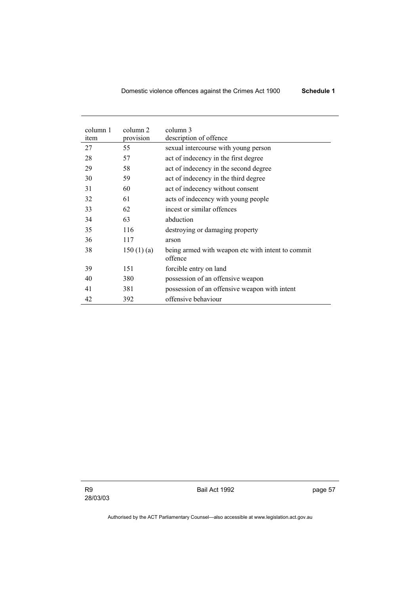| column 1<br>item | column 2<br>provision | column 3<br>description of offence                           |
|------------------|-----------------------|--------------------------------------------------------------|
| 27               | 55                    | sexual intercourse with young person                         |
| 28               | 57                    | act of indecency in the first degree                         |
| 29               | 58                    | act of indecency in the second degree                        |
| 30               | 59                    | act of indecency in the third degree                         |
| 31               | 60                    | act of indecency without consent                             |
| 32               | 61                    | acts of indecency with young people                          |
| 33               | 62                    | incest or similar offences                                   |
| 34               | 63                    | abduction                                                    |
| 35               | 116                   | destroying or damaging property                              |
| 36               | 117                   | arson                                                        |
| 38               | 150(1)(a)             | being armed with weapon etc with intent to commit<br>offence |
| 39               | 151                   | forcible entry on land                                       |
| 40               | 380                   | possession of an offensive weapon                            |
| 41               | 381                   | possession of an offensive weapon with intent                |
| 42               | 392                   | offensive behaviour                                          |

R9 28/03/03 Bail Act 1992 **page 57**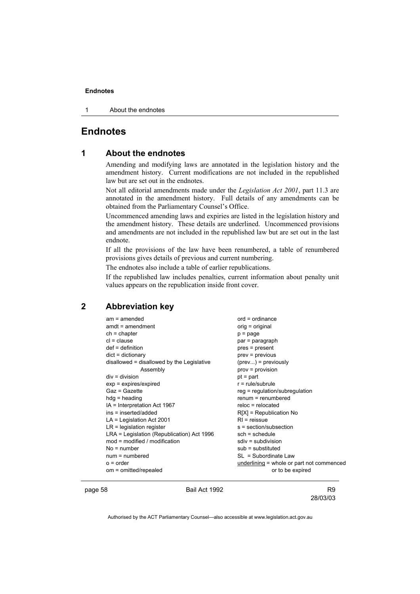1 About the endnotes

## **Endnotes**

## **1 About the endnotes**

Amending and modifying laws are annotated in the legislation history and the amendment history. Current modifications are not included in the republished law but are set out in the endnotes.

Not all editorial amendments made under the *Legislation Act 2001*, part 11.3 are annotated in the amendment history. Full details of any amendments can be obtained from the Parliamentary Counsel's Office.

Uncommenced amending laws and expiries are listed in the legislation history and the amendment history. These details are underlined. Uncommenced provisions and amendments are not included in the republished law but are set out in the last endnote.

If all the provisions of the law have been renumbered, a table of renumbered provisions gives details of previous and current numbering.

The endnotes also include a table of earlier republications.

If the republished law includes penalties, current information about penalty unit values appears on the republication inside front cover.

## **2 Abbreviation key**

| $am = amended$                             | $ord = ordinance$                         |
|--------------------------------------------|-------------------------------------------|
| $amdt = amendment$                         | orig = original                           |
| $ch = chapter$                             | $p = page$                                |
| $cl = clause$                              | par = paragraph                           |
| $def = definition$                         | pres = present                            |
| $dict = dictionary$                        | $prev = previous$                         |
| disallowed = disallowed by the Legislative | $(\text{prev})$ = previously              |
| Assembly                                   | $prov = provision$                        |
| $div =$ division                           | $pt = part$                               |
| $exp = expires/expired$                    | $r = rule/subrule$                        |
| Gaz = Gazette                              | $reg = regulation/subregulation$          |
| $hdg =$ heading                            | $renum = renumbered$                      |
| $IA = Interpretation Act 1967$             | $reloc = relocated$                       |
| ins = inserted/added                       | $R[X]$ = Republication No                 |
| $LA =$ Legislation Act 2001                | $RI = reissue$                            |
| $LR =$ legislation register                | s = section/subsection                    |
| LRA = Legislation (Republication) Act 1996 | $sch = schedule$                          |
| $mod = modified / modified$                | $sdiv = subdivision$                      |
| $No = number$                              | $sub =$ substituted                       |
| $num = numbered$                           | $SL = Subordinate Law$                    |
| $o = order$                                | underlining = whole or part not commenced |
| om = omitted/repealed                      | or to be expired                          |
|                                            |                                           |

page 58 R9 Bail Act 1992

28/03/03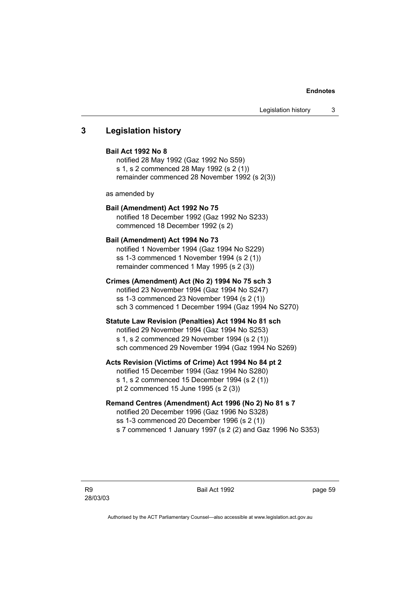## **3 Legislation history**

## **Bail Act 1992 No 8**

notified 28 May 1992 (Gaz 1992 No S59) s 1, s 2 commenced 28 May 1992 (s 2 (1)) remainder commenced 28 November 1992 (s 2(3))

as amended by

#### **Bail (Amendment) Act 1992 No 75**

notified 18 December 1992 (Gaz 1992 No S233) commenced 18 December 1992 (s 2)

#### **Bail (Amendment) Act 1994 No 73**

notified 1 November 1994 (Gaz 1994 No S229) ss 1-3 commenced 1 November 1994 (s 2 (1)) remainder commenced 1 May 1995 (s 2 (3))

#### **Crimes (Amendment) Act (No 2) 1994 No 75 sch 3**  notified 23 November 1994 (Gaz 1994 No S247)

ss 1-3 commenced 23 November 1994 (s 2 (1)) sch 3 commenced 1 December 1994 (Gaz 1994 No S270)

### **Statute Law Revision (Penalties) Act 1994 No 81 sch**

notified 29 November 1994 (Gaz 1994 No S253) s 1, s 2 commenced 29 November 1994 (s 2 (1)) sch commenced 29 November 1994 (Gaz 1994 No S269)

#### **Acts Revision (Victims of Crime) Act 1994 No 84 pt 2**

notified 15 December 1994 (Gaz 1994 No S280) s 1, s 2 commenced 15 December 1994 (s 2 (1)) pt 2 commenced 15 June 1995 (s 2 (3))

#### **Remand Centres (Amendment) Act 1996 (No 2) No 81 s 7**

notified 20 December 1996 (Gaz 1996 No S328) ss 1-3 commenced 20 December 1996 (s 2 (1)) s 7 commenced 1 January 1997 (s 2 (2) and Gaz 1996 No S353)

Bail Act 1992 **page 59**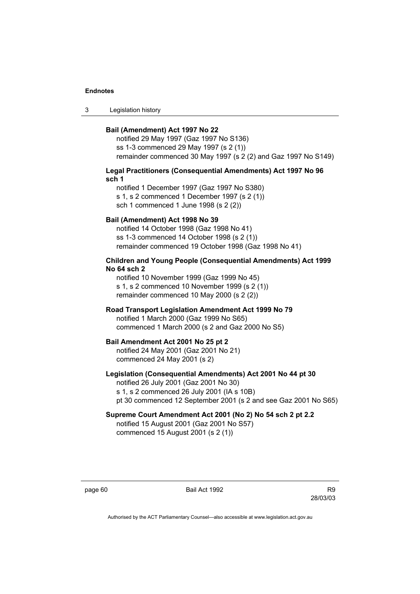3 Legislation history

#### **Bail (Amendment) Act 1997 No 22**

notified 29 May 1997 (Gaz 1997 No S136) ss 1-3 commenced 29 May 1997 (s 2 (1)) remainder commenced 30 May 1997 (s 2 (2) and Gaz 1997 No S149)

#### **Legal Practitioners (Consequential Amendments) Act 1997 No 96 sch 1**

notified 1 December 1997 (Gaz 1997 No S380) s 1, s 2 commenced 1 December 1997 (s 2 (1)) sch 1 commenced 1 June 1998 (s 2 (2))

#### **Bail (Amendment) Act 1998 No 39**

notified 14 October 1998 (Gaz 1998 No 41) ss 1-3 commenced 14 October 1998 (s 2 (1)) remainder commenced 19 October 1998 (Gaz 1998 No 41)

#### **Children and Young People (Consequential Amendments) Act 1999 No 64 sch 2**

notified 10 November 1999 (Gaz 1999 No 45) s 1, s 2 commenced 10 November 1999 (s 2 (1)) remainder commenced 10 May 2000 (s 2 (2))

### **Road Transport Legislation Amendment Act 1999 No 79**

notified 1 March 2000 (Gaz 1999 No S65) commenced 1 March 2000 (s 2 and Gaz 2000 No S5)

#### **Bail Amendment Act 2001 No 25 pt 2**

notified 24 May 2001 (Gaz 2001 No 21) commenced 24 May 2001 (s 2)

#### **Legislation (Consequential Amendments) Act 2001 No 44 pt 30**

notified 26 July 2001 (Gaz 2001 No 30) s 1, s 2 commenced 26 July 2001 (IA s 10B) pt 30 commenced 12 September 2001 (s 2 and see Gaz 2001 No S65)

#### **Supreme Court Amendment Act 2001 (No 2) No 54 sch 2 pt 2.2**  notified 15 August 2001 (Gaz 2001 No S57) commenced 15 August 2001 (s 2 (1))

page 60 Bail Act 1992

28/03/03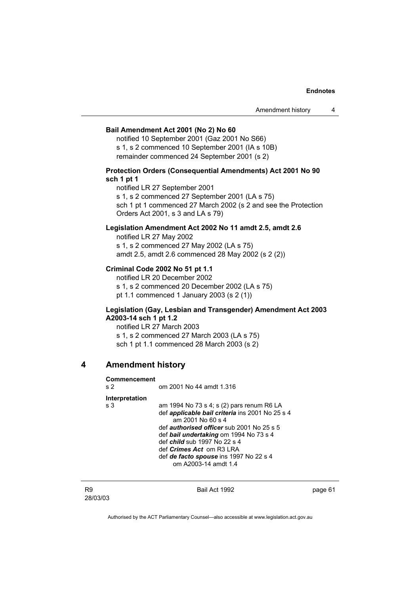#### **Bail Amendment Act 2001 (No 2) No 60**

notified 10 September 2001 (Gaz 2001 No S66) s 1, s 2 commenced 10 September 2001 (IA s 10B) remainder commenced 24 September 2001 (s 2)

#### **Protection Orders (Consequential Amendments) Act 2001 No 90 sch 1 pt 1**

notified LR 27 September 2001 s 1, s 2 commenced 27 September 2001 (LA s 75) sch 1 pt 1 commenced 27 March 2002 (s 2 and see the Protection Orders Act 2001, s 3 and LA s 79)

## **Legislation Amendment Act 2002 No 11 amdt 2.5, amdt 2.6**

notified LR 27 May 2002 s 1, s 2 commenced 27 May 2002 (LA s 75) amdt 2.5, amdt 2.6 commenced 28 May 2002 (s 2 (2))

#### **Criminal Code 2002 No 51 pt 1.1**

notified LR 20 December 2002 s 1, s 2 commenced 20 December 2002 (LA s 75) pt 1.1 commenced 1 January 2003 (s 2 (1))

#### **Legislation (Gay, Lesbian and Transgender) Amendment Act 2003 A2003-14 sch 1 pt 1.2**

notified LR 27 March 2003 s 1, s 2 commenced 27 March 2003 (LA s 75) sch 1 pt 1.1 commenced 28 March 2003 (s 2)

## **4 Amendment history**

#### **Commencement**

| s <sub>2</sub> | om 2001 No 44 amdt 1.316                                                                                                                                                                                                                                                                         |
|----------------|--------------------------------------------------------------------------------------------------------------------------------------------------------------------------------------------------------------------------------------------------------------------------------------------------|
| Interpretation |                                                                                                                                                                                                                                                                                                  |
| s 3            | am 1994 No 73 s 4; s (2) pars renum R6 LA<br>def <i>applicable bail criteria</i> ins 2001 No 25 s 4<br>am 2001 No 60 s 4<br>def <i>authorised officer</i> sub 2001 No 25 s 5<br>def bail undertaking om 1994 No 73 s 4<br>def <i>child</i> sub 1997 No 22 s 4<br>def <i>Crimes Act</i> om R3 LRA |
|                | def de facto spouse ins 1997 No 22 s 4<br>om A2003-14 amdt 1.4                                                                                                                                                                                                                                   |

R9 28/03/03 Bail Act 1992 **page 61**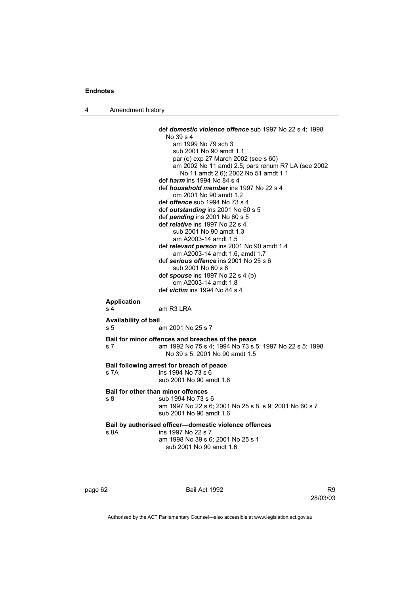4 Amendment history

```
 def domestic violence offence sub 1997 No 22 s 4; 1998 
                   No 39 s 4 
                       am 1999 No 79 sch 3 
                       sub 2001 No 90 amdt 1.1 
                       par (e) exp 27 March 2002 (see s 60) 
                       am 2002 No 11 amdt 2.5; pars renum R7 LA (see 2002 
                        No 11 amdt 2.6); 2002 No 51 amdt 1.1 
                  def harm ins 1994 No 84 s 4 
                  def household member ins 1997 No 22 s 4 
                       om 2001 No 90 amdt 1.2 
                  def offence sub 1994 No 73 s 4 
                  def outstanding ins 2001 No 60 s 5 
                  def pending ins 2001 No 60 s 5 
                  def relative ins 1997 No 22 s 4 
                       sub 2001 No 90 amdt 1.3 
                       am A2003-14 amdt 1.5 
                  def relevant person ins 2001 No 90 amdt 1.4 
                       am A2003-14 amdt 1.6, amdt 1.7 
                  def serious offence ins 2001 No 25 s 6 
                       sub 2001 No 60 s 6 
                  def spouse ins 1997 No 22 s 4 (b) 
                       om A2003-14 amdt 1.8 
                  def victim ins 1994 No 84 s 4 
Application 
s 4 am R3 LRA
Availability of bail 
s 5 am 2001 No 25 s 7 
Bail for minor offences and breaches of the peace
s 7 am 1992 No 75 s 4; 1994 No 73 s 5; 1997 No 22 s 5; 1998 
                   No 39 s 5; 2001 No 90 amdt 1.5 
Bail following arrest for breach of peace
s 7A ins 1994 No 73 s 6 
                  sub 2001 No 90 amdt 1.6 
Bail for other than minor offences
s 8 sub 1994 No 73 s 6 
                  am 1997 No 22 s 6; 2001 No 25 s 8, s 9; 2001 No 60 s 7 
                  sub 2001 No 90 amdt 1.6 
Bail by authorised officer—domestic violence offences
s 8A ins 1997 No 22 s 7 
                  am 1998 No 39 s 6; 2001 No 25 s 1
                    sub 2001 No 90 amdt 1.6
```
page 62 R9

28/03/03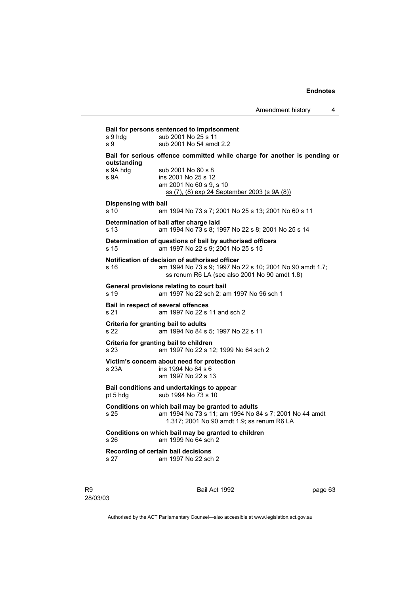**Bail for persons sentenced to imprisonment**  s 9 hdg sub 2001 No 25 s 11 s 9 sub 2001 No 54 amdt 2.2 **Bail for serious offence committed while charge for another is pending or outstanding**  s 9A hdg sub 2001 No 60 s 8 s 9A ins 2001 No 25 s 12 am 2001 No 60 s 9, s 10 ss (7), (8) exp 24 September 2003 (s 9A (8)) **Dispensing with bail** s 10 am 1994 No 73 s 7; 2001 No 25 s 13; 2001 No 60 s 11 **Determination of bail after charge laid** s 13 am 1994 No 73 s 8; 1997 No 22 s 8; 2001 No 25 s 14 **Determination of questions of bail by authorised officers** s 15 am 1997 No 22 s 9; 2001 No 25 s 15 **Notification of decision of authorised officer** s 16 am 1994 No 73 s 9; 1997 No 22 s 10; 2001 No 90 amdt 1.7; ss renum R6 LA (see also 2001 No 90 amdt 1.8) **General provisions relating to court bail** s 19 am 1997 No 22 sch 2; am 1997 No 96 sch 1 **Bail in respect of several offences** s 21 am 1997 No 22 s 11 and sch 2 **Criteria for granting bail to adults** s 22 am 1994 No 84 s 5; 1997 No 22 s 11 **Criteria for granting bail to children** s 23 am 1997 No 22 s 12; 1999 No 64 sch 2 **Victim's concern about need for protection** s 23A ins 1994 No 84 s 6 am 1997 No 22 s 13 **Bail conditions and undertakings to appear** pt 5 hdg sub 1994 No 73 s 10 **Conditions on which bail may be granted to adults** s 25 am 1994 No 73 s 11; am 1994 No 84 s 7; 2001 No 44 amdt 1.317; 2001 No 90 amdt 1.9; ss renum R6 LA **Conditions on which bail may be granted to children** s 26 am 1999 No 64 sch 2 **Recording of certain bail decisions**

s 27 am 1997 No 22 sch 2

R9 28/03/03 Bail Act 1992 **page 63**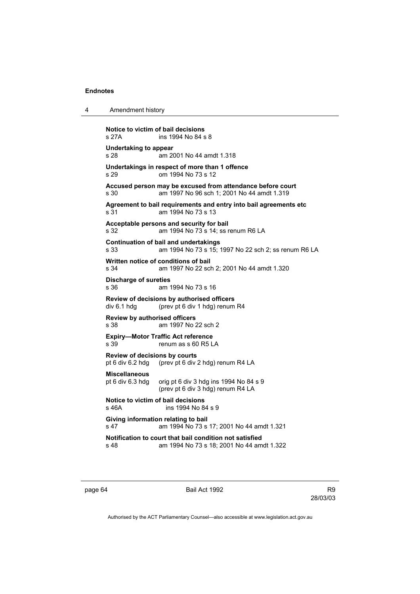4 Amendment history

| Notice to victim of bail decisions<br>s 27A                                              | ins 1994 No 84 s 8                                                                                       |  |
|------------------------------------------------------------------------------------------|----------------------------------------------------------------------------------------------------------|--|
| <b>Undertaking to appear</b><br>s 28                                                     | am 2001 No 44 amdt 1.318                                                                                 |  |
| s 29                                                                                     | Undertakings in respect of more than 1 offence<br>om 1994 No 73 s 12                                     |  |
| s 30                                                                                     | Accused person may be excused from attendance before court<br>am 1997 No 96 sch 1; 2001 No 44 amdt 1.319 |  |
| s 31                                                                                     | Agreement to bail requirements and entry into bail agreements etc<br>am 1994 No 73 s 13                  |  |
| s 32                                                                                     | Acceptable persons and security for bail<br>am 1994 No 73 s 14; ss renum R6 LA                           |  |
| s 33                                                                                     | Continuation of bail and undertakings<br>am 1994 No 73 s 15; 1997 No 22 sch 2; ss renum R6 LA            |  |
| Written notice of conditions of bail<br>s 34                                             | am 1997 No 22 sch 2; 2001 No 44 amdt 1.320                                                               |  |
| <b>Discharge of sureties</b><br>s 36                                                     | am 1994 No 73 s 16                                                                                       |  |
| div 6.1 hdg                                                                              | Review of decisions by authorised officers<br>(prev pt 6 div 1 hdg) renum R4                             |  |
| <b>Review by authorised officers</b><br>s 38<br>am 1997 No 22 sch 2                      |                                                                                                          |  |
| s 39                                                                                     | <b>Expiry-Motor Traffic Act reference</b><br>renum as s 60 R5 LA                                         |  |
| <b>Review of decisions by courts</b>                                                     | pt 6 div 6.2 hdg (prev pt 6 div 2 hdg) renum R4 LA                                                       |  |
| <b>Miscellaneous</b><br>pt 6 div 6.3 hdg                                                 | orig pt 6 div 3 hdg ins 1994 No 84 s 9<br>(prev pt 6 div 3 hdg) renum R4 LA                              |  |
| Notice to victim of bail decisions<br>s 46A                                              | ins 1994 No 84 s 9                                                                                       |  |
| Giving information relating to bail<br>s 47<br>am 1994 No 73 s 17; 2001 No 44 amdt 1.321 |                                                                                                          |  |
| s 48                                                                                     | Notification to court that bail condition not satisfied<br>am 1994 No 73 s 18; 2001 No 44 amdt 1.322     |  |
|                                                                                          |                                                                                                          |  |

page 64 R9

28/03/03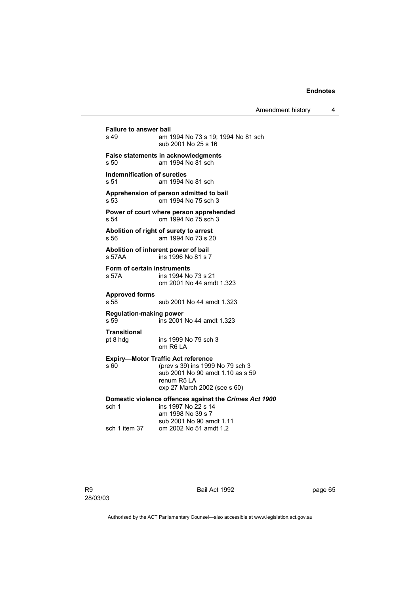**Failure to answer bail**<br>s 49 am 1 am 1994 No 73 s 19: 1994 No 81 sch sub 2001 No 25 s 16 **False statements in acknowledgments** s 50 am 1994 No 81 sch **Indemnification of sureties** s 51 am 1994 No 81 sch **Apprehension of person admitted to bail** s 53 om 1994 No 75 sch 3 **Power of court where person apprehended** s 54 om 1994 No 75 sch 3 **Abolition of right of surety to arrest** s 56 am 1994 No 73 s 20 **Abolition of inherent power of bail** s 57AA ins 1996 No 81 s 7 **Form of certain instruments** s 57A ins 1994 No 73 s 21 om 2001 No 44 amdt 1.323 **Approved forms**  s 58 sub 2001 No 44 amdt 1.323 **Regulation-making power**  ins 2001 No 44 amdt 1.323 **Transitional** pt 8 hdg ins 1999 No 79 sch 3 om R6 LA **Expiry—Motor Traffic Act reference** s 60 (prev s 39) ins 1999 No 79 sch 3 sub 2001 No 90 amdt 1.10 as s 59 renum R5 LA exp 27 March 2002 (see s 60) **Domestic violence offences against the** *Crimes Act 1900***<br>sch 1 ins 1997 No 22 s 14** ins 1997 No  $22$  s 14 am 1998 No 39 s 7 sub 2001 No 90 amdt 1.11<br>sch 1 item 37 om 2002 No 51 amdt 1.2 om 2002 No 51 amdt 1.2

Bail Act 1992 **page 65**